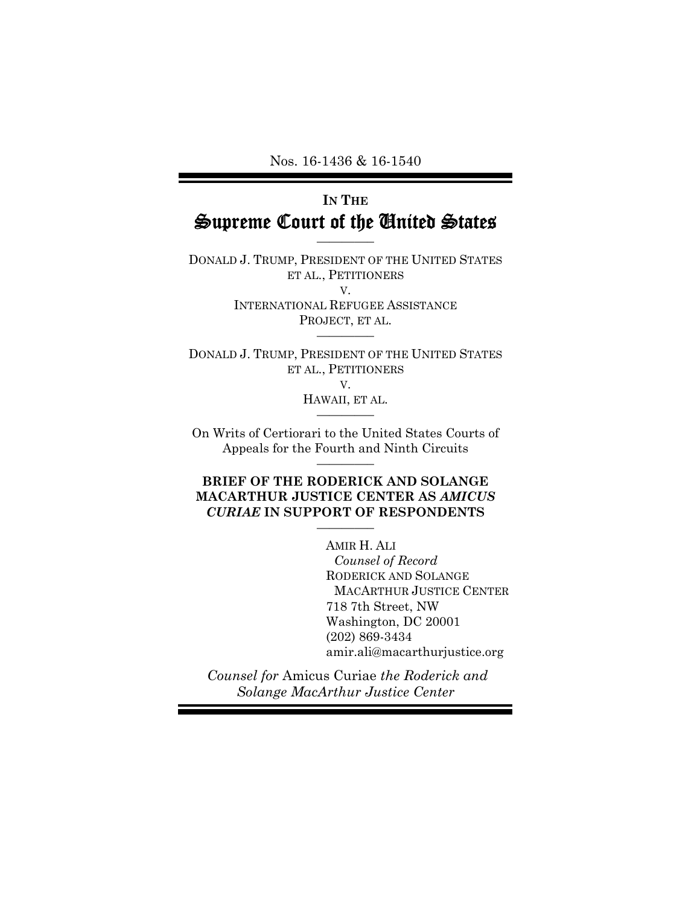Nos. 16-1436 & 16-1540

# **IN THE** Supreme Court of the United States

————–

DONALD J. TRUMP, PRESIDENT OF THE UNITED STATES ET AL., PETITIONERS V. INTERNATIONAL REFUGEE ASSISTANCE PROJECT, ET AL.

DONALD J. TRUMP, PRESIDENT OF THE UNITED STATES ET AL., PETITIONERS V.

————–

HAWAII, ET AL. ————–

On Writs of Certiorari to the United States Courts of Appeals for the Fourth and Ninth Circuits ————–

### **BRIEF OF THE RODERICK AND SOLANGE MACARTHUR JUSTICE CENTER AS** *AMICUS CURIAE* **IN SUPPORT OF RESPONDENTS**

————–

AMIR H. ALI

*Counsel of Record*  RODERICK AND SOLANGE MACARTHUR JUSTICE CENTER 718 7th Street, NW Washington, DC 20001 (202) 869-3434 amir.ali@macarthurjustice.org

 *Counsel for* Amicus Curiae *the Roderick and Solange MacArthur Justice Center*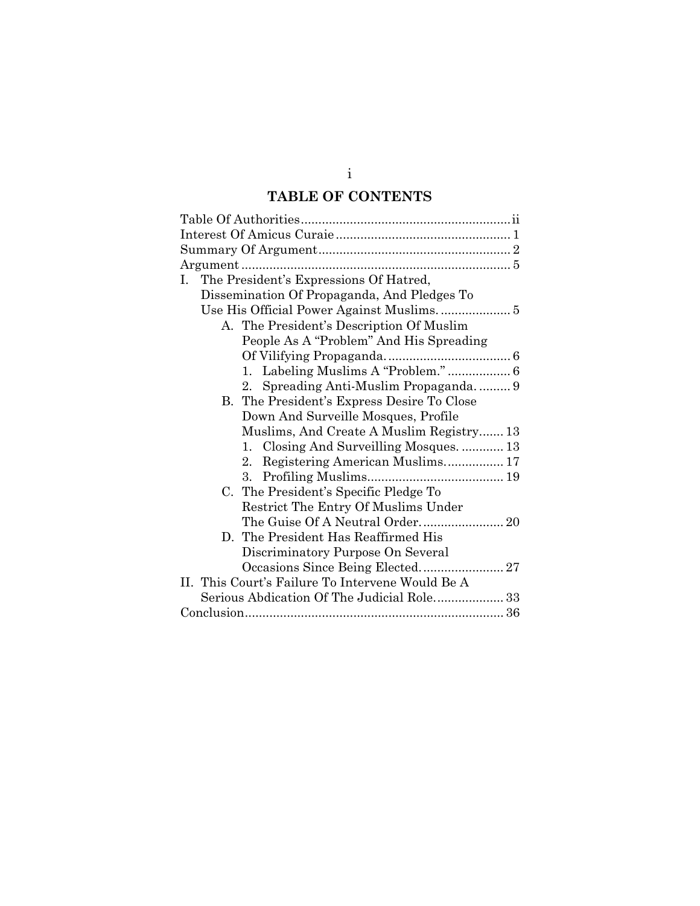# **TABLE OF CONTENTS**

| The President's Expressions Of Hatred,<br>L.     |
|--------------------------------------------------|
| Dissemination Of Propaganda, And Pledges To      |
|                                                  |
| A. The President's Description Of Muslim         |
| People As A "Problem" And His Spreading          |
|                                                  |
| 1. Labeling Muslims A "Problem."  6              |
| 2. Spreading Anti-Muslim Propaganda9             |
| B. The President's Express Desire To Close       |
| Down And Surveille Mosques, Profile              |
| Muslims, And Create A Muslim Registry 13         |
| 1. Closing And Surveilling Mosques.  13          |
| Registering American Muslims 17<br>2.            |
|                                                  |
| The President's Specific Pledge To<br>C.         |
| Restrict The Entry Of Muslims Under              |
|                                                  |
| D. The President Has Reaffirmed His              |
| Discriminatory Purpose On Several                |
|                                                  |
| II. This Court's Failure To Intervene Would Be A |
| Serious Abdication Of The Judicial Role 33       |
|                                                  |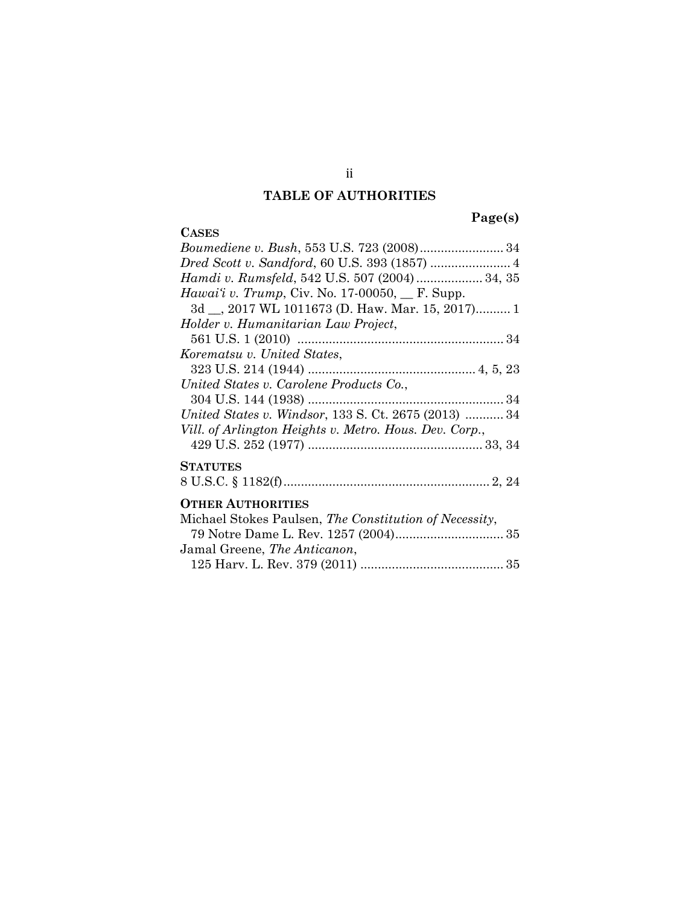# **TABLE OF AUTHORITIES**

**Page(s)** 

| <b>CASES</b>                                           |
|--------------------------------------------------------|
| Boumediene v. Bush, 553 U.S. 723 (2008) 34             |
|                                                        |
| Hamdi v. Rumsfeld, 542 U.S. 507 (2004)  34, 35         |
| Hawai'i v. Trump, Civ. No. 17-00050, $\Gamma$ . Supp.  |
| 3d __, 2017 WL 1011673 (D. Haw. Mar. 15, 2017) 1       |
| Holder v. Humanitarian Law Project,                    |
|                                                        |
| Korematsu v. United States,                            |
|                                                        |
| United States v. Carolene Products Co.,                |
|                                                        |
| United States v. Windsor, 133 S. Ct. 2675 (2013)  34   |
| Vill. of Arlington Heights v. Metro. Hous. Dev. Corp., |
|                                                        |
| <b>STATUTES</b>                                        |
|                                                        |
|                                                        |
| <b>OTHER AUTHORITIES</b>                               |
| Michael Stokes Paulsen, The Constitution of Necessity, |
|                                                        |
| Jamal Greene, The Anticanon,                           |
|                                                        |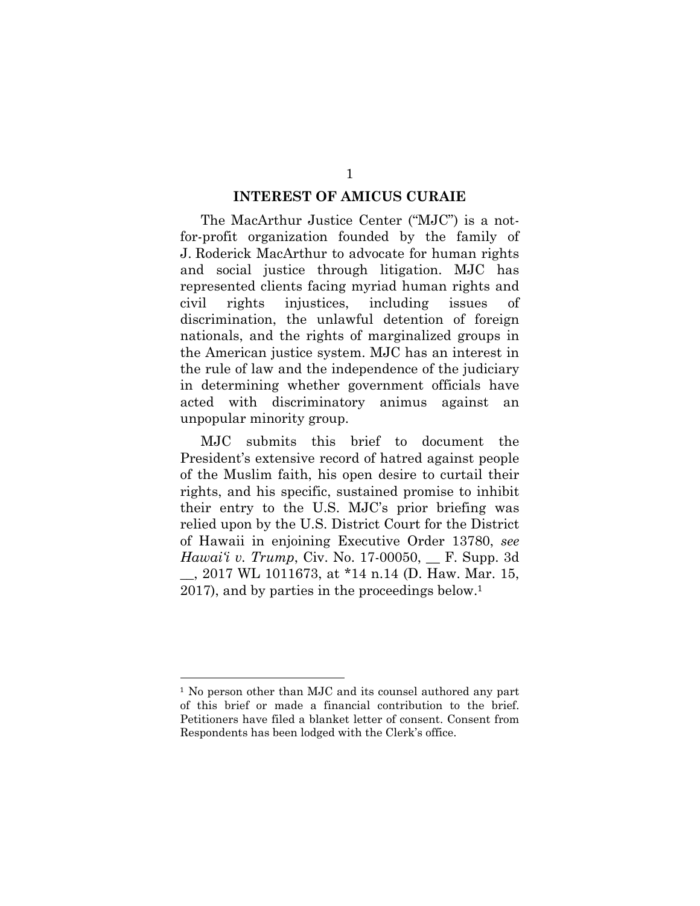#### **INTEREST OF AMICUS CURAIE**

The MacArthur Justice Center ("MJC") is a notfor-profit organization founded by the family of J. Roderick MacArthur to advocate for human rights and social justice through litigation. MJC has represented clients facing myriad human rights and civil rights injustices, including issues of discrimination, the unlawful detention of foreign nationals, and the rights of marginalized groups in the American justice system. MJC has an interest in the rule of law and the independence of the judiciary in determining whether government officials have acted with discriminatory animus against an unpopular minority group.

MJC submits this brief to document the President's extensive record of hatred against people of the Muslim faith, his open desire to curtail their rights, and his specific, sustained promise to inhibit their entry to the U.S. MJC's prior briefing was relied upon by the U.S. District Court for the District of Hawaii in enjoining Executive Order 13780, *see Hawai'i v. Trump*, Civ. No. 17-00050, <u>\_\_</u> F. Supp. 3d \_\_, 2017 WL 1011673, at \*14 n.14 (D. Haw. Mar. 15, 2017), and by parties in the proceedings below.<sup>1</sup>

<sup>1</sup> No person other than MJC and its counsel authored any part of this brief or made a financial contribution to the brief. Petitioners have filed a blanket letter of consent. Consent from Respondents has been lodged with the Clerk's office.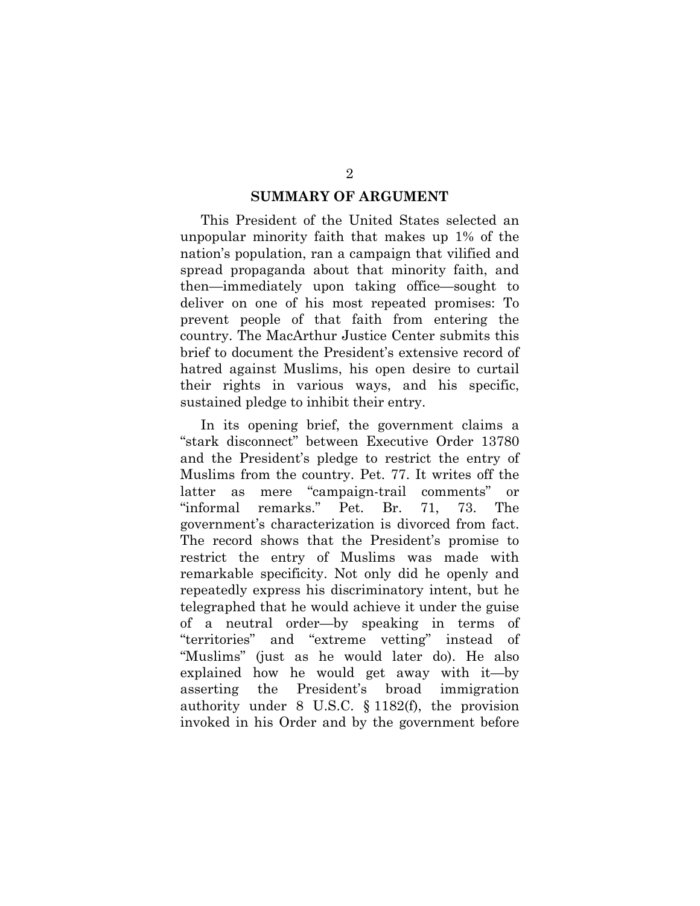#### **SUMMARY OF ARGUMENT**

This President of the United States selected an unpopular minority faith that makes up 1% of the nation's population, ran a campaign that vilified and spread propaganda about that minority faith, and then—immediately upon taking office—sought to deliver on one of his most repeated promises: To prevent people of that faith from entering the country. The MacArthur Justice Center submits this brief to document the President's extensive record of hatred against Muslims, his open desire to curtail their rights in various ways, and his specific, sustained pledge to inhibit their entry.

In its opening brief, the government claims a "stark disconnect" between Executive Order 13780 and the President's pledge to restrict the entry of Muslims from the country. Pet. 77. It writes off the latter as mere "campaign-trail comments" or "informal remarks." Pet. Br. 71, 73. The government's characterization is divorced from fact. The record shows that the President's promise to restrict the entry of Muslims was made with remarkable specificity. Not only did he openly and repeatedly express his discriminatory intent, but he telegraphed that he would achieve it under the guise of a neutral order—by speaking in terms of "territories" and "extreme vetting" instead of "Muslims" (just as he would later do). He also explained how he would get away with it—by asserting the President's broad immigration authority under 8 U.S.C. § 1182(f), the provision invoked in his Order and by the government before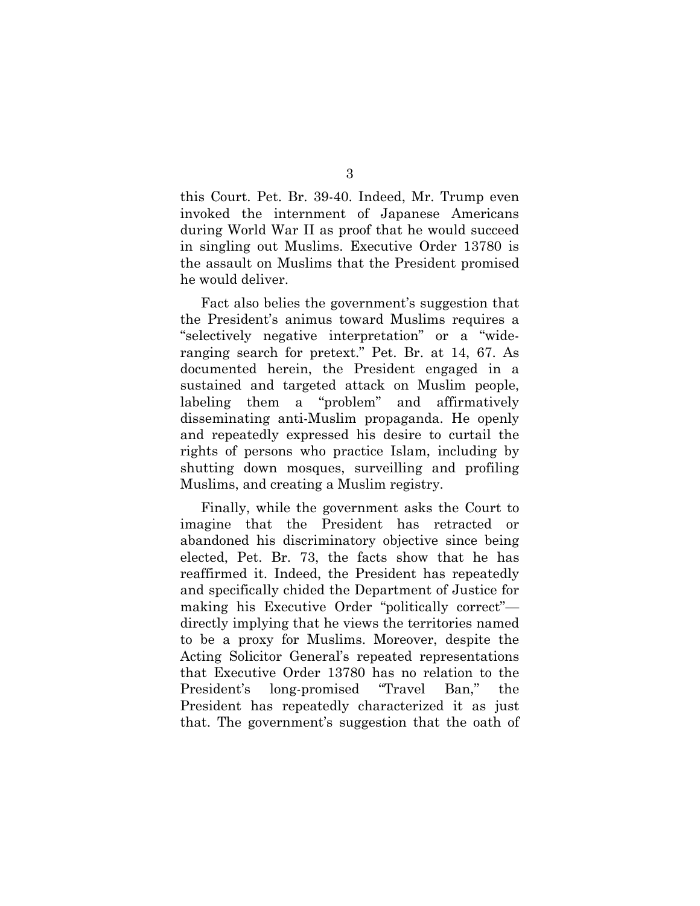this Court. Pet. Br. 39-40. Indeed, Mr. Trump even invoked the internment of Japanese Americans during World War II as proof that he would succeed in singling out Muslims. Executive Order 13780 is the assault on Muslims that the President promised he would deliver.

Fact also belies the government's suggestion that the President's animus toward Muslims requires a "selectively negative interpretation" or a "wideranging search for pretext." Pet. Br. at 14, 67. As documented herein, the President engaged in a sustained and targeted attack on Muslim people, labeling them a "problem" and affirmatively disseminating anti-Muslim propaganda. He openly and repeatedly expressed his desire to curtail the rights of persons who practice Islam, including by shutting down mosques, surveilling and profiling Muslims, and creating a Muslim registry.

Finally, while the government asks the Court to imagine that the President has retracted or abandoned his discriminatory objective since being elected, Pet. Br. 73, the facts show that he has reaffirmed it. Indeed, the President has repeatedly and specifically chided the Department of Justice for making his Executive Order "politically correct" directly implying that he views the territories named to be a proxy for Muslims. Moreover, despite the Acting Solicitor General's repeated representations that Executive Order 13780 has no relation to the President's long-promised "Travel Ban," the President has repeatedly characterized it as just that. The government's suggestion that the oath of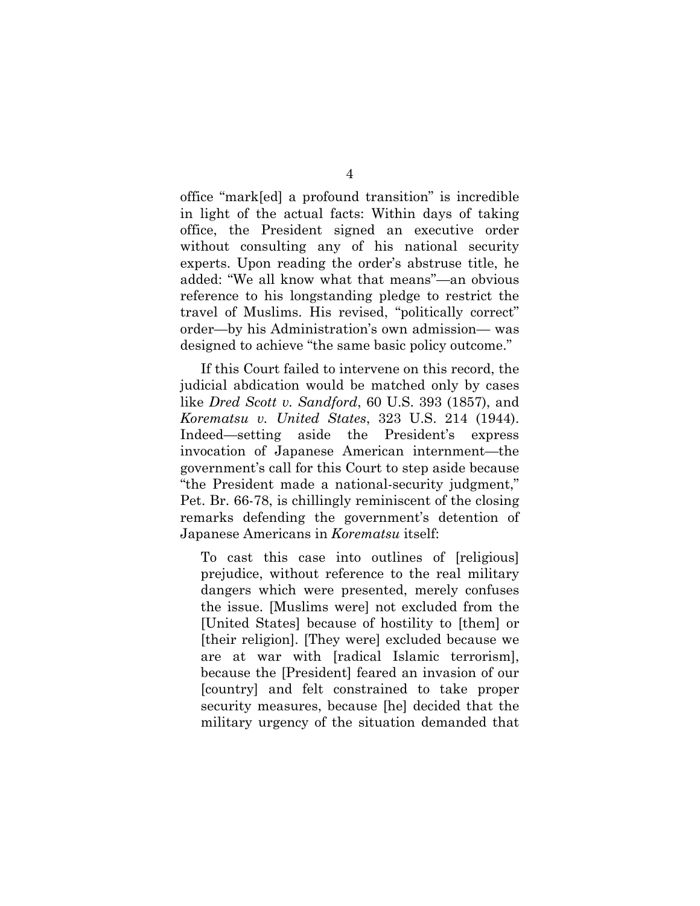office "mark[ed] a profound transition" is incredible in light of the actual facts: Within days of taking office, the President signed an executive order without consulting any of his national security experts. Upon reading the order's abstruse title, he added: "We all know what that means"—an obvious reference to his longstanding pledge to restrict the travel of Muslims. His revised, "politically correct" order—by his Administration's own admission— was designed to achieve "the same basic policy outcome."

If this Court failed to intervene on this record, the judicial abdication would be matched only by cases like *Dred Scott v. Sandford*, 60 U.S. 393 (1857), and *Korematsu v. United States*, 323 U.S. 214 (1944). Indeed—setting aside the President's express invocation of Japanese American internment—the government's call for this Court to step aside because "the President made a national-security judgment," Pet. Br. 66-78, is chillingly reminiscent of the closing remarks defending the government's detention of Japanese Americans in *Korematsu* itself:

To cast this case into outlines of [religious] prejudice, without reference to the real military dangers which were presented, merely confuses the issue. [Muslims were] not excluded from the [United States] because of hostility to [them] or [their religion]. [They were] excluded because we are at war with [radical Islamic terrorism], because the [President] feared an invasion of our [country] and felt constrained to take proper security measures, because [he] decided that the military urgency of the situation demanded that

4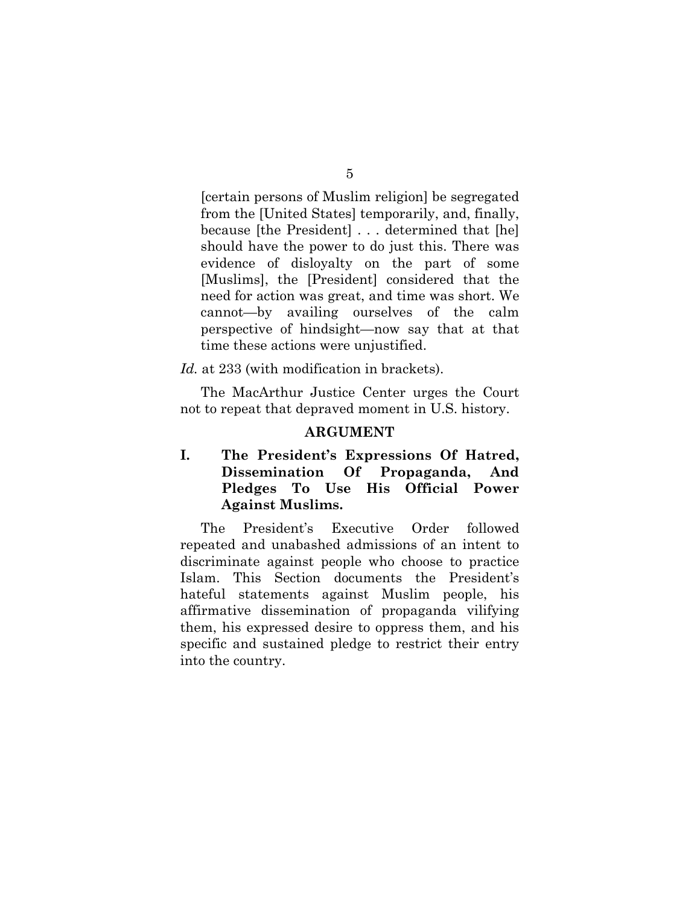5

[certain persons of Muslim religion] be segregated from the [United States] temporarily, and, finally, because [the President] . . . determined that [he] should have the power to do just this. There was evidence of disloyalty on the part of some [Muslims], the [President] considered that the need for action was great, and time was short. We cannot—by availing ourselves of the calm perspective of hindsight—now say that at that time these actions were unjustified.

*Id.* at 233 (with modification in brackets).

The MacArthur Justice Center urges the Court not to repeat that depraved moment in U.S. history.

#### **ARGUMENT**

# **I. The President's Expressions Of Hatred, Dissemination Of Propaganda, And Pledges To Use His Official Power Against Muslims.**

The President's Executive Order followed repeated and unabashed admissions of an intent to discriminate against people who choose to practice Islam. This Section documents the President's hateful statements against Muslim people, his affirmative dissemination of propaganda vilifying them, his expressed desire to oppress them, and his specific and sustained pledge to restrict their entry into the country.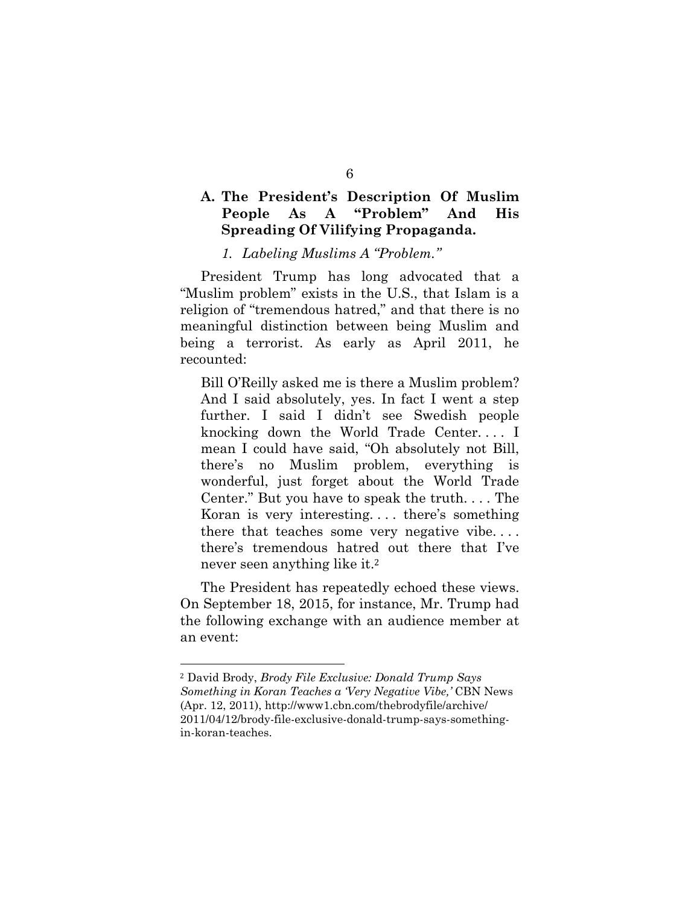# **A. The President's Description Of Muslim People As A "Problem" And His Spreading Of Vilifying Propaganda.**

*1. Labeling Muslims A "Problem."* 

President Trump has long advocated that a "Muslim problem" exists in the U.S., that Islam is a religion of "tremendous hatred," and that there is no meaningful distinction between being Muslim and being a terrorist. As early as April 2011, he recounted:

Bill O'Reilly asked me is there a Muslim problem? And I said absolutely, yes. In fact I went a step further. I said I didn't see Swedish people knocking down the World Trade Center. . . . I mean I could have said, "Oh absolutely not Bill, there's no Muslim problem, everything is wonderful, just forget about the World Trade Center." But you have to speak the truth. . . . The Koran is very interesting. . . . there's something there that teaches some very negative vibe. . . . there's tremendous hatred out there that I've never seen anything like it.<sup>2</sup>

The President has repeatedly echoed these views. On September 18, 2015, for instance, Mr. Trump had the following exchange with an audience member at an event:

<sup>2</sup> David Brody, *Brody File Exclusive: Donald Trump Says Something in Koran Teaches a 'Very Negative Vibe,'* CBN News (Apr. 12, 2011), http://www1.cbn.com/thebrodyfile/archive/ 2011/04/12/brody-file-exclusive-donald-trump-says-somethingin-koran-teaches.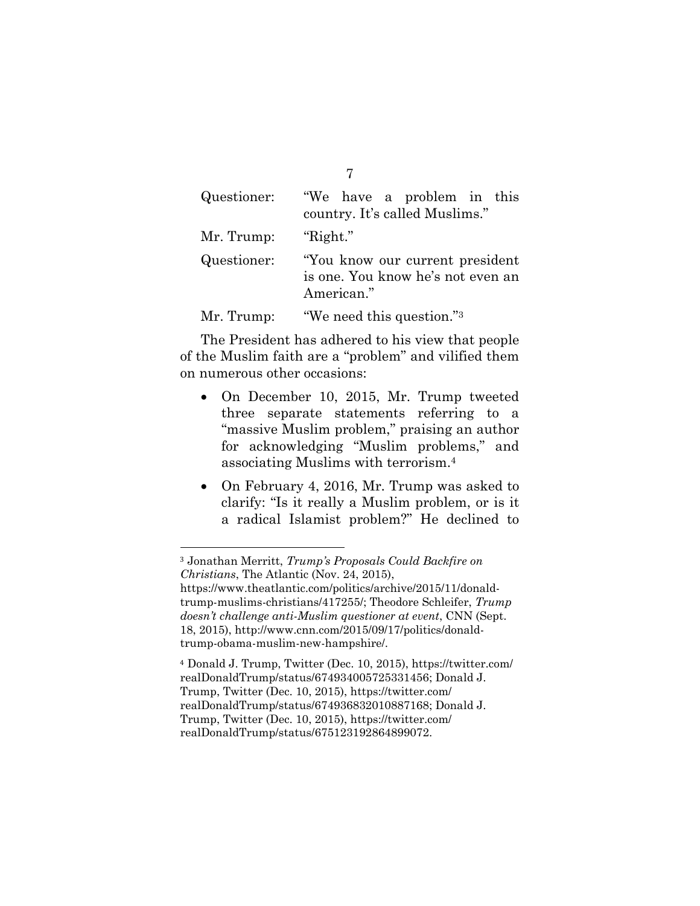| Questioner: | "We have a problem in this<br>country. It's called Muslims."                        |
|-------------|-------------------------------------------------------------------------------------|
| Mr. Trump:  | "Right."                                                                            |
| Questioner: | "You know our current president"<br>is one. You know he's not even an<br>American." |
| Mr. Trump:  | "We need this question." <sup>3</sup>                                               |

The President has adhered to his view that people of the Muslim faith are a "problem" and vilified them on numerous other occasions:

- On December 10, 2015, Mr. Trump tweeted three separate statements referring to a "massive Muslim problem," praising an author for acknowledging "Muslim problems," and associating Muslims with terrorism.4
- On February 4, 2016, Mr. Trump was asked to clarify: "Is it really a Muslim problem, or is it a radical Islamist problem?" He declined to

 $\overline{a}$ 

<sup>4</sup> Donald J. Trump, Twitter (Dec. 10, 2015), https://twitter.com/ realDonaldTrump/status/674934005725331456; Donald J. Trump, Twitter (Dec. 10, 2015), https://twitter.com/ realDonaldTrump/status/674936832010887168; Donald J. Trump, Twitter (Dec. 10, 2015), https://twitter.com/ realDonaldTrump/status/675123192864899072.

7

<sup>3</sup> Jonathan Merritt, *Trump's Proposals Could Backfire on Christians*, The Atlantic (Nov. 24, 2015),

https://www.theatlantic.com/politics/archive/2015/11/donaldtrump-muslims-christians/417255/; Theodore Schleifer, *Trump doesn't challenge anti-Muslim questioner at event*, CNN (Sept. 18, 2015), http://www.cnn.com/2015/09/17/politics/donaldtrump-obama-muslim-new-hampshire/.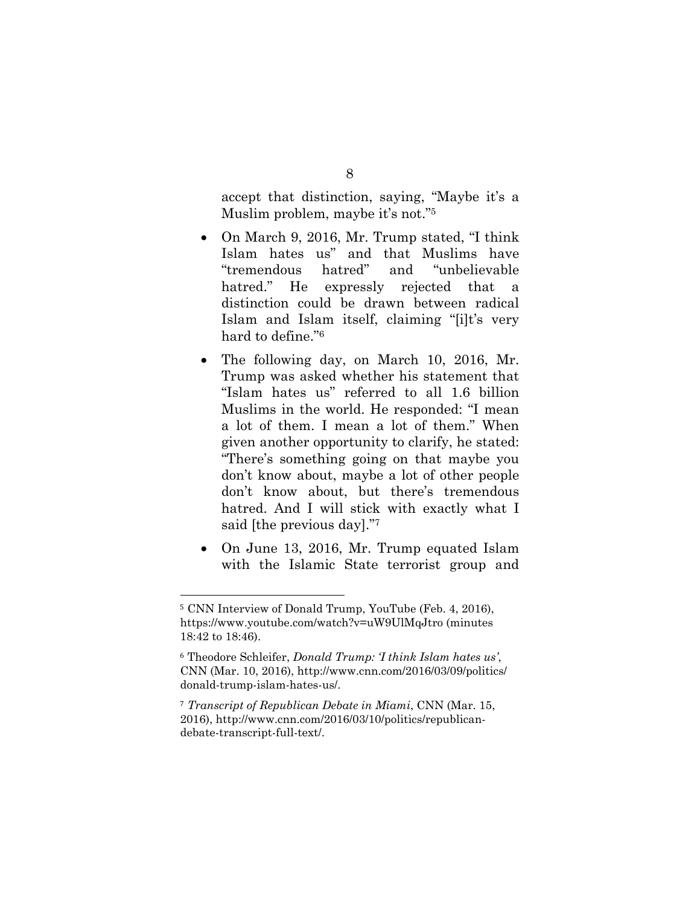accept that distinction, saying, "Maybe it's a Muslim problem, maybe it's not."5

- On March 9, 2016, Mr. Trump stated, "I think Islam hates us" and that Muslims have "tremendous hatred" and "unbelievable hatred." He expressly rejected that a distinction could be drawn between radical Islam and Islam itself, claiming "[i]t's very hard to define."6
- The following day, on March 10, 2016, Mr. Trump was asked whether his statement that "Islam hates us" referred to all 1.6 billion Muslims in the world. He responded: "I mean a lot of them. I mean a lot of them." When given another opportunity to clarify, he stated: "There's something going on that maybe you don't know about, maybe a lot of other people don't know about, but there's tremendous hatred. And I will stick with exactly what I said [the previous day]."7
- On June 13, 2016, Mr. Trump equated Islam with the Islamic State terrorist group and

<sup>5</sup> CNN Interview of Donald Trump, YouTube (Feb. 4, 2016), https://www.youtube.com/watch?v=uW9UlMqJtro (minutes 18:42 to 18:46).

<sup>6</sup> Theodore Schleifer, *Donald Trump: 'I think Islam hates us'*, CNN (Mar. 10, 2016), http://www.cnn.com/2016/03/09/politics/ donald-trump-islam-hates-us/.

<sup>7</sup> *Transcript of Republican Debate in Miami*, CNN (Mar. 15, 2016), http://www.cnn.com/2016/03/10/politics/republicandebate-transcript-full-text/.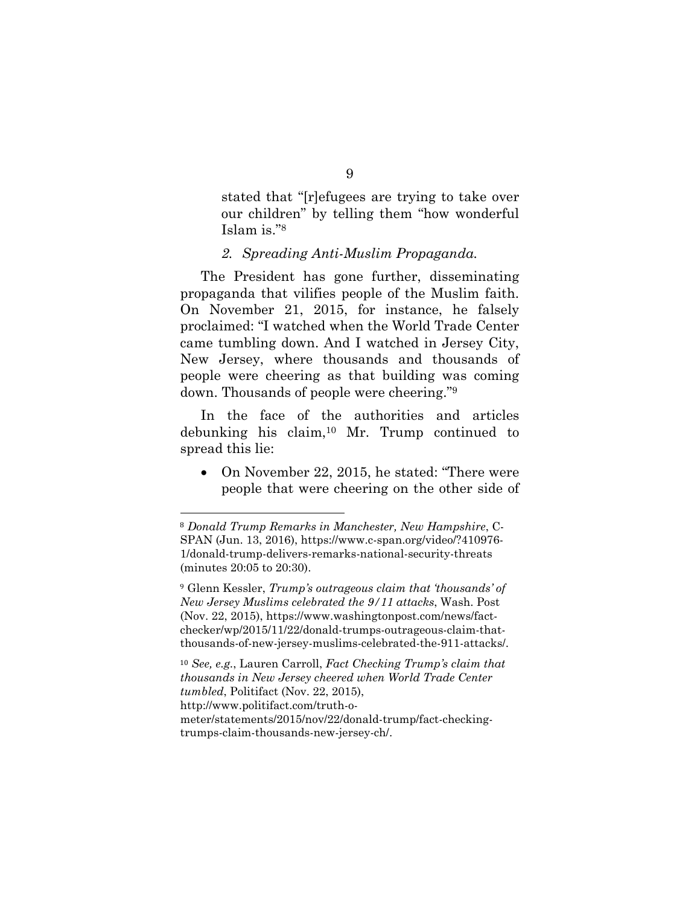stated that "[r]efugees are trying to take over our children" by telling them "how wonderful Islam is."8

#### *2. Spreading Anti-Muslim Propaganda.*

The President has gone further, disseminating propaganda that vilifies people of the Muslim faith. On November 21, 2015, for instance, he falsely proclaimed: "I watched when the World Trade Center came tumbling down. And I watched in Jersey City, New Jersey, where thousands and thousands of people were cheering as that building was coming down. Thousands of people were cheering."9

In the face of the authorities and articles debunking his claim,10 Mr. Trump continued to spread this lie:

• On November 22, 2015, he stated: "There were people that were cheering on the other side of

<sup>8</sup> *Donald Trump Remarks in Manchester, New Hampshire*, C-SPAN (Jun. 13, 2016), https://www.c-span.org/video/?410976- 1/donald-trump-delivers-remarks-national-security-threats (minutes 20:05 to 20:30).

<sup>9</sup> Glenn Kessler, *Trump's outrageous claim that 'thousands' of New Jersey Muslims celebrated the 9/11 attacks*, Wash. Post (Nov. 22, 2015), https://www.washingtonpost.com/news/factchecker/wp/2015/11/22/donald-trumps-outrageous-claim-thatthousands-of-new-jersey-muslims-celebrated-the-911-attacks/.

<sup>10</sup> *See, e.g.*, Lauren Carroll, *Fact Checking Trump's claim that thousands in New Jersey cheered when World Trade Center tumbled*, Politifact (Nov. 22, 2015), http://www.politifact.com/truth-ometer/statements/2015/nov/22/donald-trump/fact-checkingtrumps-claim-thousands-new-jersey-ch/.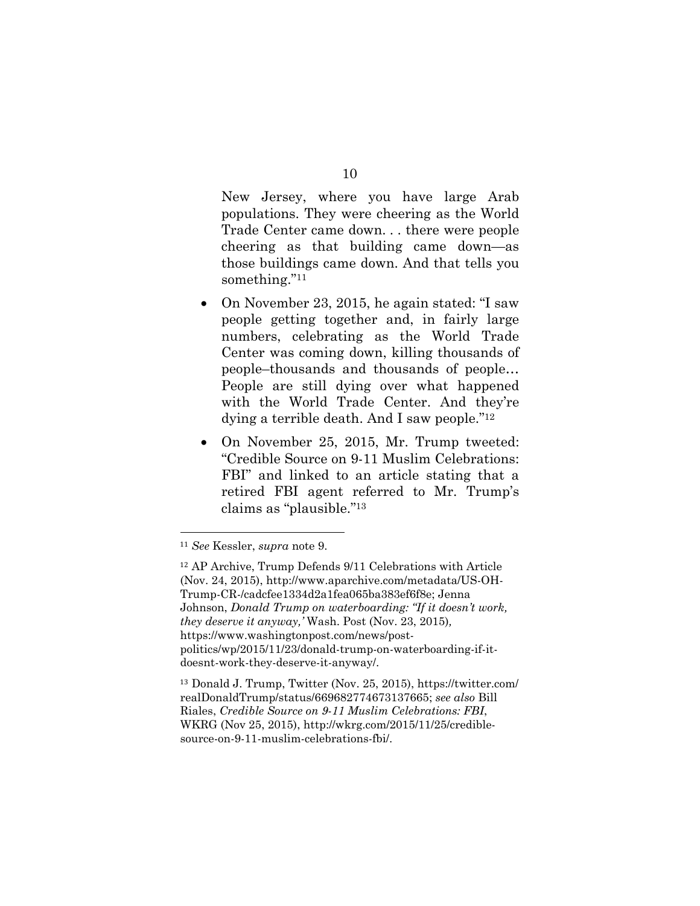New Jersey, where you have large Arab populations. They were cheering as the World Trade Center came down. . . there were people cheering as that building came down—as those buildings came down. And that tells you something."11

- On November 23, 2015, he again stated: "I saw people getting together and, in fairly large numbers, celebrating as the World Trade Center was coming down, killing thousands of people–thousands and thousands of people… People are still dying over what happened with the World Trade Center. And they're dying a terrible death. And I saw people."12
- On November 25, 2015, Mr. Trump tweeted: "Credible Source on 9-11 Muslim Celebrations: FBI" and linked to an article stating that a retired FBI agent referred to Mr. Trump's claims as "plausible."13

 $\overline{a}$ 

<sup>13</sup> Donald J. Trump, Twitter (Nov. 25, 2015), https://twitter.com/ realDonaldTrump/status/669682774673137665; *see also* Bill Riales, *Credible Source on 9-11 Muslim Celebrations: FBI*, WKRG (Nov 25, 2015), http://wkrg.com/2015/11/25/crediblesource-on-9-11-muslim-celebrations-fbi/.

10

<sup>11</sup> *See* Kessler, *supra* note 9.

<sup>12</sup> AP Archive, Trump Defends 9/11 Celebrations with Article (Nov. 24, 2015), http://www.aparchive.com/metadata/US-OH-Trump-CR-/cadcfee1334d2a1fea065ba383ef6f8e; Jenna Johnson, *Donald Trump on waterboarding: "If it doesn't work, they deserve it anyway,'* Wash. Post (Nov. 23, 2015)*,*  https://www.washingtonpost.com/news/postpolitics/wp/2015/11/23/donald-trump-on-waterboarding-if-itdoesnt-work-they-deserve-it-anyway/.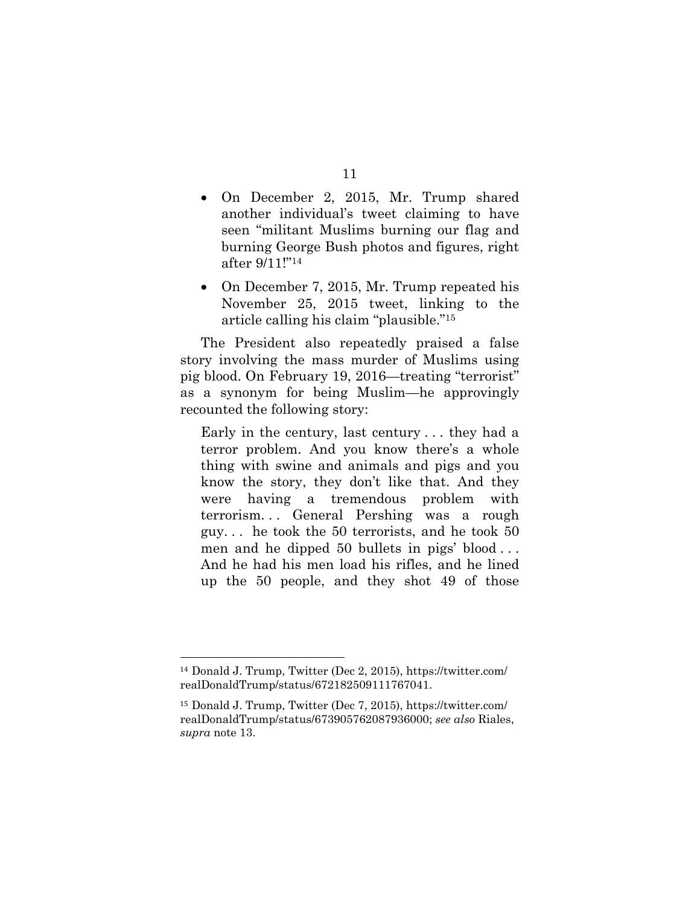- On December 2, 2015, Mr. Trump shared another individual's tweet claiming to have seen "militant Muslims burning our flag and burning George Bush photos and figures, right after 9/11!"14
- On December 7, 2015, Mr. Trump repeated his November 25, 2015 tweet, linking to the article calling his claim "plausible."15

The President also repeatedly praised a false story involving the mass murder of Muslims using pig blood. On February 19, 2016—treating "terrorist" as a synonym for being Muslim—he approvingly recounted the following story:

Early in the century, last century . . . they had a terror problem. And you know there's a whole thing with swine and animals and pigs and you know the story, they don't like that. And they were having a tremendous problem with terrorism. . . General Pershing was a rough guy. . . he took the 50 terrorists, and he took 50 men and he dipped 50 bullets in pigs' blood . . . And he had his men load his rifles, and he lined up the 50 people, and they shot 49 of those

 $\overline{a}$ 

#### 11

<sup>14</sup> Donald J. Trump, Twitter (Dec 2, 2015), https://twitter.com/ realDonaldTrump/status/672182509111767041.

<sup>15</sup> Donald J. Trump, Twitter (Dec 7, 2015), https://twitter.com/ realDonaldTrump/status/673905762087936000; *see also* Riales, *supra* note 13.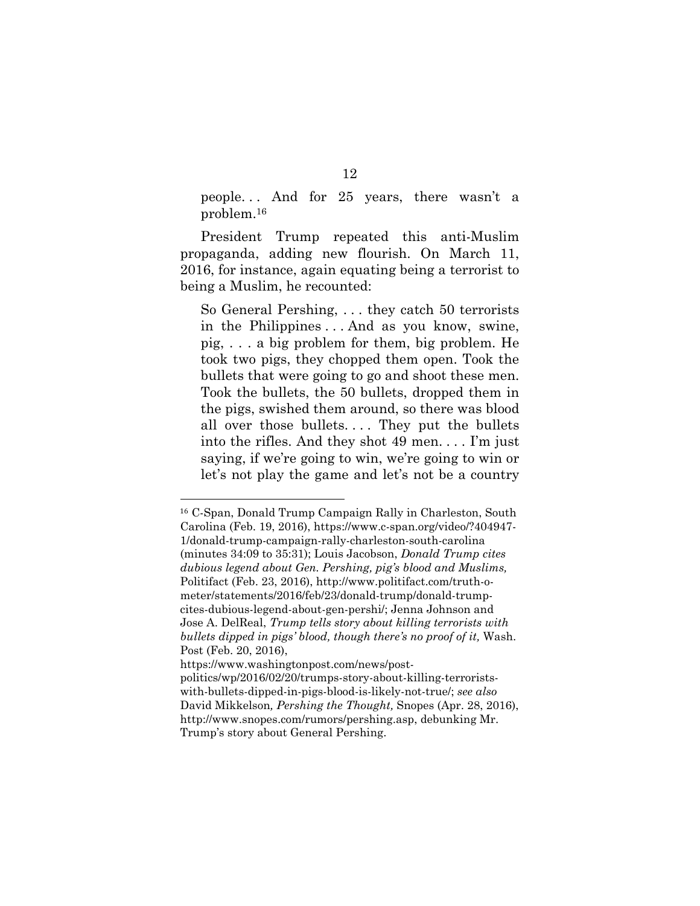people. . . And for 25 years, there wasn't a problem.16

President Trump repeated this anti-Muslim propaganda, adding new flourish. On March 11, 2016, for instance, again equating being a terrorist to being a Muslim, he recounted:

So General Pershing, . . . they catch 50 terrorists in the Philippines . . . And as you know, swine, pig, . . . a big problem for them, big problem. He took two pigs, they chopped them open. Took the bullets that were going to go and shoot these men. Took the bullets, the 50 bullets, dropped them in the pigs, swished them around, so there was blood all over those bullets.... They put the bullets into the rifles. And they shot 49 men. . . . I'm just saying, if we're going to win, we're going to win or let's not play the game and let's not be a country

<sup>16</sup> C-Span, Donald Trump Campaign Rally in Charleston, South Carolina (Feb. 19, 2016), https://www.c-span.org/video/?404947- 1/donald-trump-campaign-rally-charleston-south-carolina (minutes 34:09 to 35:31); Louis Jacobson, *Donald Trump cites dubious legend about Gen. Pershing, pig's blood and Muslims,*  Politifact (Feb. 23, 2016), http://www.politifact.com/truth-ometer/statements/2016/feb/23/donald-trump/donald-trumpcites-dubious-legend-about-gen-pershi/; Jenna Johnson and Jose A. DelReal, *Trump tells story about killing terrorists with bullets dipped in pigs' blood, though there's no proof of it,* Wash. Post (Feb. 20, 2016),

https://www.washingtonpost.com/news/postpolitics/wp/2016/02/20/trumps-story-about-killing-terroristswith-bullets-dipped-in-pigs-blood-is-likely-not-true/; *see also*  David Mikkelson*, Pershing the Thought,* Snopes (Apr. 28, 2016), http://www.snopes.com/rumors/pershing.asp, debunking Mr. Trump's story about General Pershing.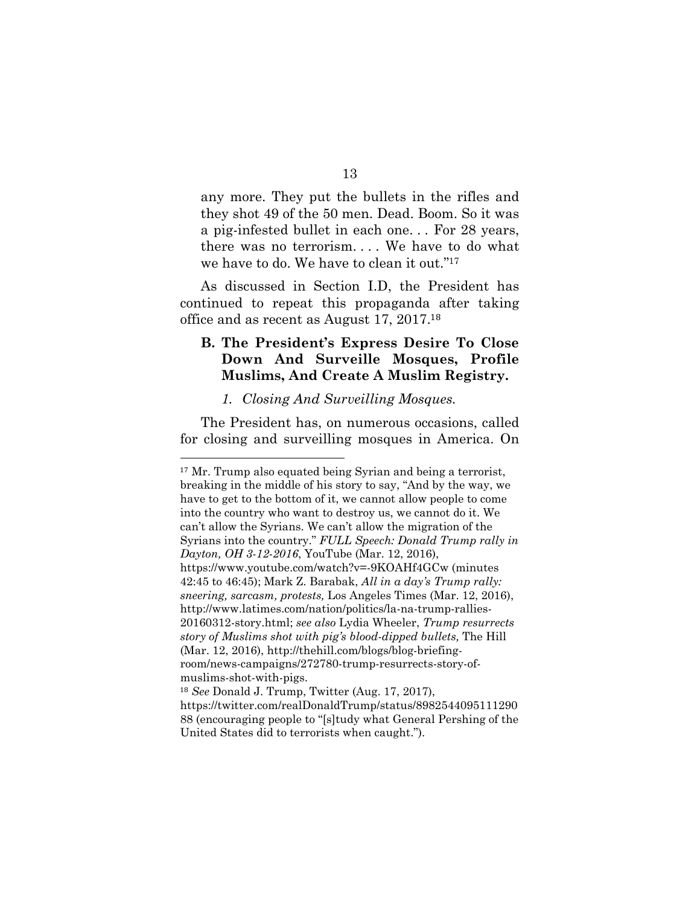any more. They put the bullets in the rifles and they shot 49 of the 50 men. Dead. Boom. So it was a pig-infested bullet in each one. . . For 28 years, there was no terrorism. . . . We have to do what we have to do. We have to clean it out."17

As discussed in Section I.D, the President has continued to repeat this propaganda after taking office and as recent as August 17, 2017.<sup>18</sup>

# **B. The President's Express Desire To Close Down And Surveille Mosques, Profile Muslims, And Create A Muslim Registry.**

#### *1. Closing And Surveilling Mosques.*

 $\overline{a}$ 

The President has, on numerous occasions, called for closing and surveilling mosques in America. On

<sup>&</sup>lt;sup>17</sup> Mr. Trump also equated being Syrian and being a terrorist, breaking in the middle of his story to say, "And by the way, we have to get to the bottom of it, we cannot allow people to come into the country who want to destroy us, we cannot do it. We can't allow the Syrians. We can't allow the migration of the Syrians into the country." *FULL Speech: Donald Trump rally in Dayton, OH 3-12-2016*, YouTube (Mar. 12, 2016), https://www.youtube.com/watch?v=-9KOAHf4GCw (minutes 42:45 to 46:45); Mark Z. Barabak, *All in a day's Trump rally: sneering, sarcasm, protests,* Los Angeles Times (Mar. 12, 2016), http://www.latimes.com/nation/politics/la-na-trump-rallies-20160312-story.html; *see also* Lydia Wheeler, *Trump resurrects story of Muslims shot with pig's blood-dipped bullets,* The Hill (Mar. 12, 2016), http://thehill.com/blogs/blog-briefingroom/news-campaigns/272780-trump-resurrects-story-ofmuslims-shot-with-pigs. <sup>18</sup> *See* Donald J. Trump, Twitter (Aug. 17, 2017),

https://twitter.com/realDonaldTrump/status/8982544095111290 88 (encouraging people to "[s]tudy what General Pershing of the United States did to terrorists when caught.").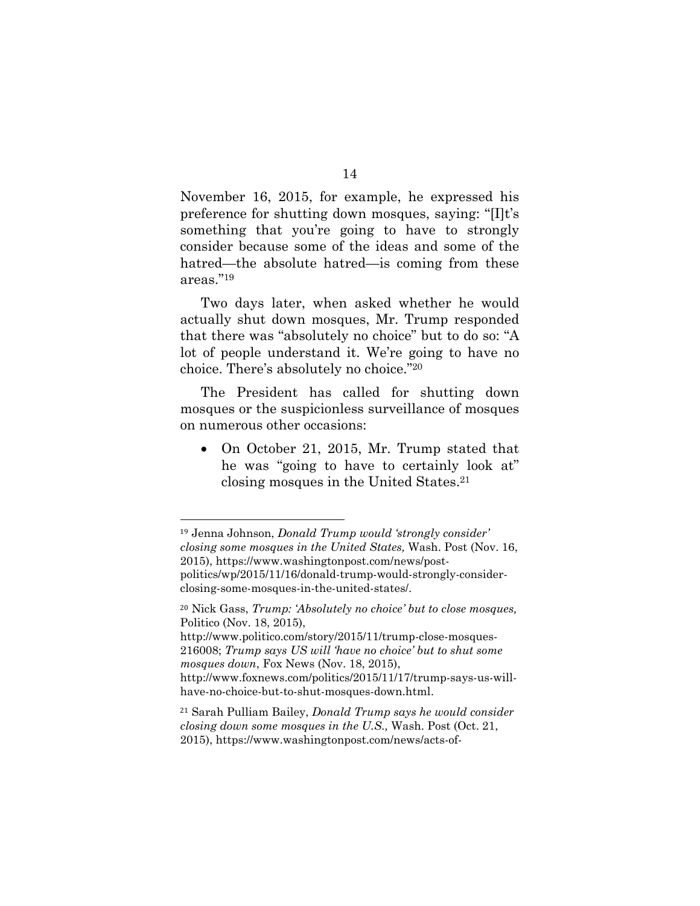November 16, 2015, for example, he expressed his preference for shutting down mosques, saying: "[I]t's something that you're going to have to strongly consider because some of the ideas and some of the hatred—the absolute hatred—is coming from these areas."19

Two days later, when asked whether he would actually shut down mosques, Mr. Trump responded that there was "absolutely no choice" but to do so: "A lot of people understand it. We're going to have no choice. There's absolutely no choice."20

The President has called for shutting down mosques or the suspicionless surveillance of mosques on numerous other occasions:

• On October 21, 2015, Mr. Trump stated that he was "going to have to certainly look at" closing mosques in the United States.21

<sup>19</sup> Jenna Johnson, *Donald Trump would 'strongly consider' closing some mosques in the United States,* Wash. Post (Nov. 16, 2015), https://www.washingtonpost.com/news/postpolitics/wp/2015/11/16/donald-trump-would-strongly-considerclosing-some-mosques-in-the-united-states/.

<sup>20</sup> Nick Gass, *Trump: 'Absolutely no choice' but to close mosques,*  Politico (Nov. 18, 2015),

http://www.politico.com/story/2015/11/trump-close-mosques-216008; *Trump says US will 'have no choice' but to shut some mosques down*, Fox News (Nov. 18, 2015), http://www.foxnews.com/politics/2015/11/17/trump-says-us-will-

have-no-choice-but-to-shut-mosques-down.html.

<sup>21</sup> Sarah Pulliam Bailey, *Donald Trump says he would consider closing down some mosques in the U.S.,* Wash. Post (Oct. 21, 2015), https://www.washingtonpost.com/news/acts-of-

<sup>14</sup>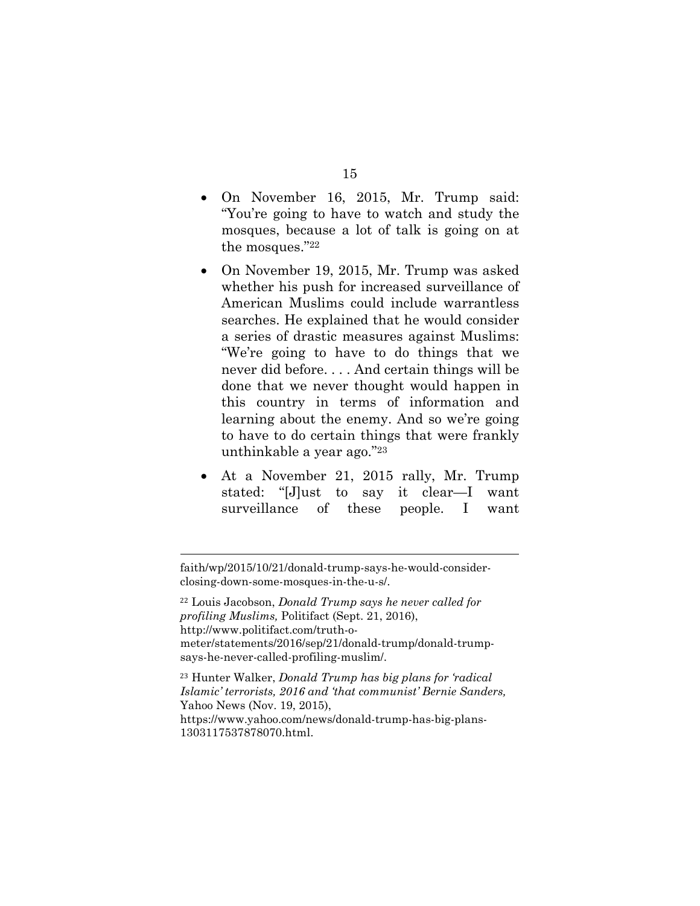- On November 16, 2015, Mr. Trump said: "You're going to have to watch and study the mosques, because a lot of talk is going on at the mosques."22
- On November 19, 2015, Mr. Trump was asked whether his push for increased surveillance of American Muslims could include warrantless searches. He explained that he would consider a series of drastic measures against Muslims: "We're going to have to do things that we never did before. . . . And certain things will be done that we never thought would happen in this country in terms of information and learning about the enemy. And so we're going to have to do certain things that were frankly unthinkable a year ago."23
- At a November 21, 2015 rally, Mr. Trump stated: "[J]ust to say it clear—I want surveillance of these people. I want

faith/wp/2015/10/21/donald-trump-says-he-would-considerclosing-down-some-mosques-in-the-u-s/.

 $\overline{a}$ 

<sup>22</sup> Louis Jacobson, *Donald Trump says he never called for profiling Muslims,* Politifact (Sept. 21, 2016), http://www.politifact.com/truth-ometer/statements/2016/sep/21/donald-trump/donald-trumpsays-he-never-called-profiling-muslim/.

<sup>23</sup> Hunter Walker, *Donald Trump has big plans for 'radical Islamic' terrorists, 2016 and 'that communist' Bernie Sanders,*  Yahoo News (Nov. 19, 2015), https://www.yahoo.com/news/donald-trump-has-big-plans-

1303117537878070.html.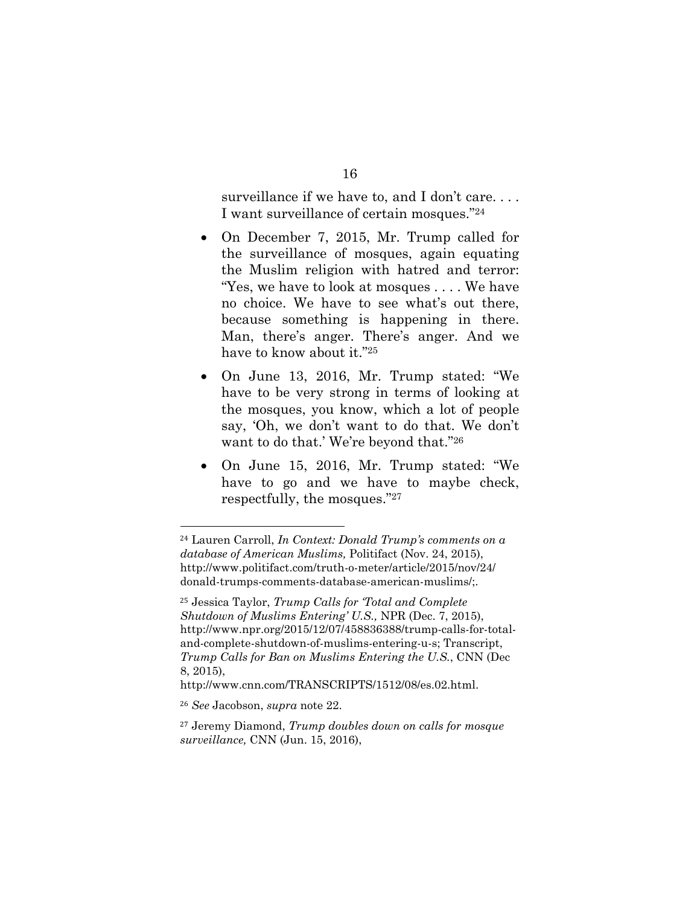surveillance if we have to, and I don't care. . . . I want surveillance of certain mosques."24

- On December 7, 2015, Mr. Trump called for the surveillance of mosques, again equating the Muslim religion with hatred and terror: "Yes, we have to look at mosques . . . . We have no choice. We have to see what's out there, because something is happening in there. Man, there's anger. There's anger. And we have to know about it."25
- On June 13, 2016, Mr. Trump stated: "We have to be very strong in terms of looking at the mosques, you know, which a lot of people say, 'Oh, we don't want to do that. We don't want to do that.' We're beyond that."26
- On June 15, 2016, Mr. Trump stated: "We have to go and we have to maybe check, respectfully, the mosques."27

<sup>24</sup> Lauren Carroll, *In Context: Donald Trump's comments on a database of American Muslims,* Politifact (Nov. 24, 2015), http://www.politifact.com/truth-o-meter/article/2015/nov/24/ donald-trumps-comments-database-american-muslims/;.

<sup>25</sup> Jessica Taylor, *Trump Calls for 'Total and Complete Shutdown of Muslims Entering' U.S.,* NPR (Dec. 7, 2015), http://www.npr.org/2015/12/07/458836388/trump-calls-for-totaland-complete-shutdown-of-muslims-entering-u-s; Transcript, *Trump Calls for Ban on Muslims Entering the U.S.*, CNN (Dec 8, 2015),

http://www.cnn.com/TRANSCRIPTS/1512/08/es.02.html.

<sup>26</sup> *See* Jacobson, *supra* note 22.

<sup>27</sup> Jeremy Diamond, *Trump doubles down on calls for mosque surveillance,* CNN (Jun. 15, 2016),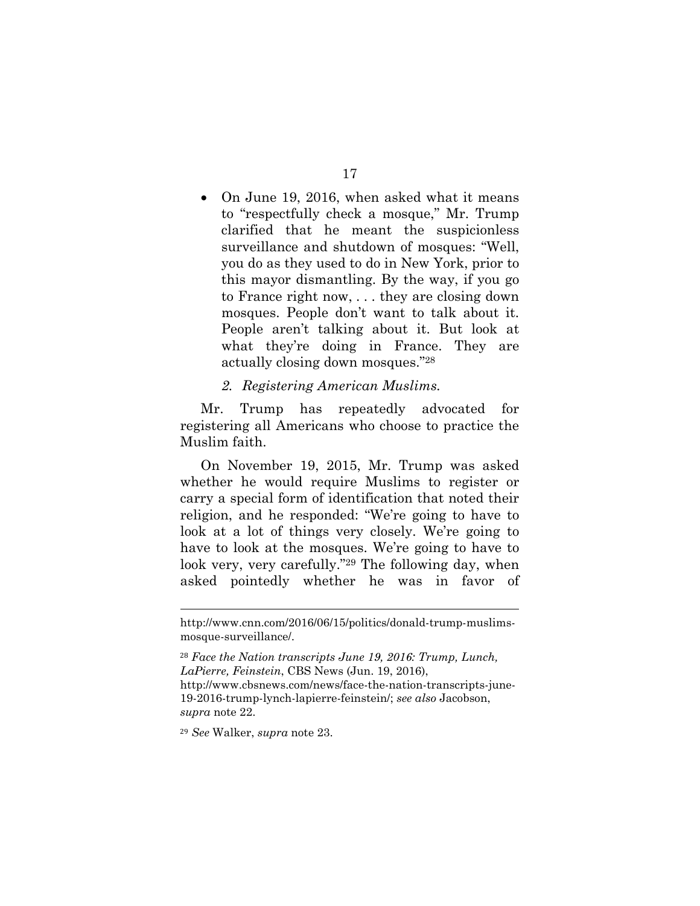• On June 19, 2016, when asked what it means to "respectfully check a mosque," Mr. Trump clarified that he meant the suspicionless surveillance and shutdown of mosques: "Well, you do as they used to do in New York, prior to this mayor dismantling. By the way, if you go to France right now, . . . they are closing down mosques. People don't want to talk about it. People aren't talking about it. But look at what they're doing in France. They are actually closing down mosques."28

#### *2. Registering American Muslims.*

Mr. Trump has repeatedly advocated for registering all Americans who choose to practice the Muslim faith.

On November 19, 2015, Mr. Trump was asked whether he would require Muslims to register or carry a special form of identification that noted their religion, and he responded: "We're going to have to look at a lot of things very closely. We're going to have to look at the mosques. We're going to have to look very, very carefully."29 The following day, when asked pointedly whether he was in favor of

<sup>29</sup> *See* Walker, *supra* note 23.

http://www.cnn.com/2016/06/15/politics/donald-trump-muslimsmosque-surveillance/.

<sup>28</sup> *Face the Nation transcripts June 19, 2016: Trump, Lunch, LaPierre, Feinstein*, CBS News (Jun. 19, 2016), http://www.cbsnews.com/news/face-the-nation-transcripts-june-19-2016-trump-lynch-lapierre-feinstein/; *see also* Jacobson, *supra* note 22.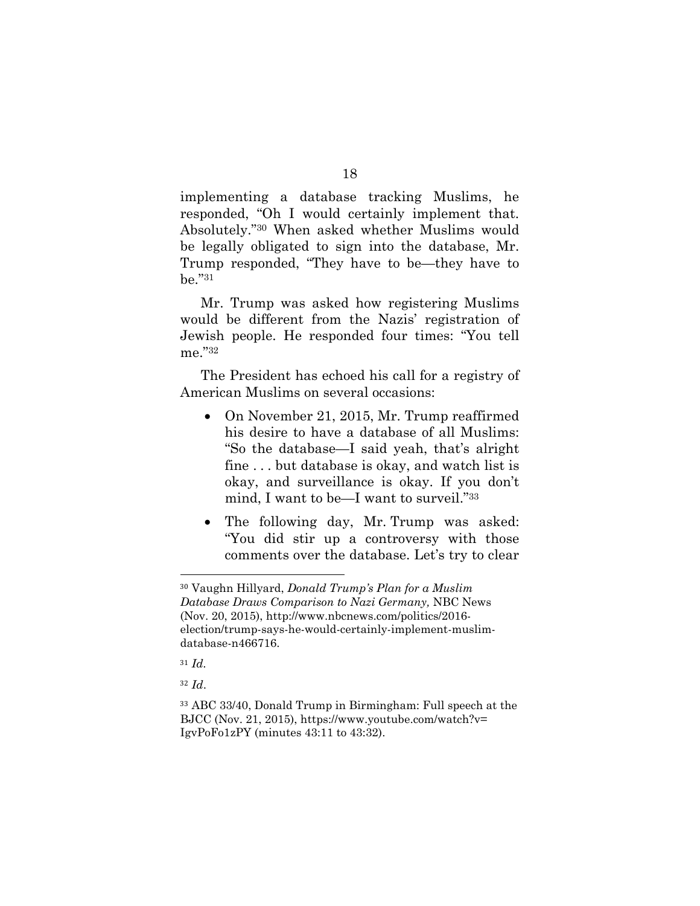implementing a database tracking Muslims, he responded, "Oh I would certainly implement that. Absolutely."30 When asked whether Muslims would be legally obligated to sign into the database, Mr. Trump responded, "They have to be—they have to be."31

Mr. Trump was asked how registering Muslims would be different from the Nazis' registration of Jewish people. He responded four times: "You tell me."32

The President has echoed his call for a registry of American Muslims on several occasions:

- On November 21, 2015, Mr. Trump reaffirmed his desire to have a database of all Muslims: "So the database—I said yeah, that's alright fine . . . but database is okay, and watch list is okay, and surveillance is okay. If you don't mind, I want to be—I want to surveil."33
- The following day, Mr. Trump was asked: "You did stir up a controversy with those comments over the database. Let's try to clear

<sup>31</sup> *Id.*

 $\overline{a}$ 

<sup>32</sup> *Id*.

<sup>30</sup> Vaughn Hillyard, *Donald Trump's Plan for a Muslim Database Draws Comparison to Nazi Germany,* NBC News (Nov. 20, 2015), http://www.nbcnews.com/politics/2016 election/trump-says-he-would-certainly-implement-muslimdatabase-n466716.

<sup>33</sup> ABC 33/40, Donald Trump in Birmingham: Full speech at the BJCC (Nov. 21, 2015), https://www.youtube.com/watch?v= IgvPoFo1zPY (minutes 43:11 to 43:32).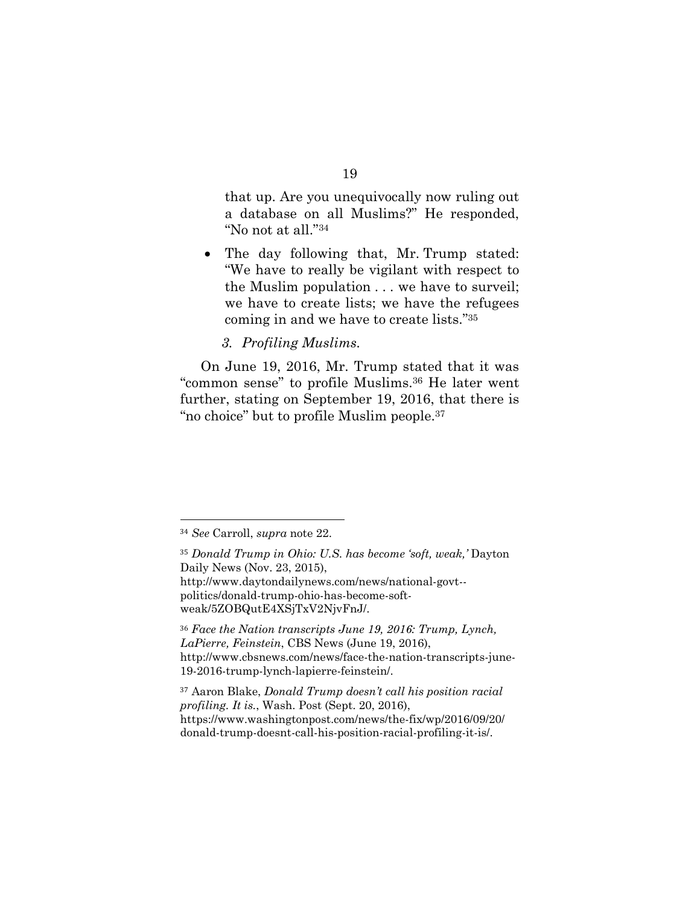that up. Are you unequivocally now ruling out a database on all Muslims?" He responded, "No not at all."34

- The day following that, Mr. Trump stated: "We have to really be vigilant with respect to the Muslim population . . . we have to surveil; we have to create lists; we have the refugees coming in and we have to create lists."35
	- *3. Profiling Muslims.*

On June 19, 2016, Mr. Trump stated that it was "common sense" to profile Muslims.36 He later went further, stating on September 19, 2016, that there is "no choice" but to profile Muslim people.37

 $\overline{a}$ 

#### 19

<sup>34</sup> *See* Carroll, *supra* note 22.

<sup>35</sup> *Donald Trump in Ohio: U.S. has become 'soft, weak,'* Dayton Daily News (Nov. 23, 2015), http://www.daytondailynews.com/news/national-govt- politics/donald-trump-ohio-has-become-softweak/5ZOBQutE4XSjTxV2NjvFnJ/.

<sup>36</sup> *Face the Nation transcripts June 19, 2016: Trump, Lynch, LaPierre, Feinstein*, CBS News (June 19, 2016), http://www.cbsnews.com/news/face-the-nation-transcripts-june-19-2016-trump-lynch-lapierre-feinstein/.

<sup>37</sup> Aaron Blake, *Donald Trump doesn't call his position racial profiling. It is.*, Wash. Post (Sept. 20, 2016), https://www.washingtonpost.com/news/the-fix/wp/2016/09/20/ donald-trump-doesnt-call-his-position-racial-profiling-it-is/.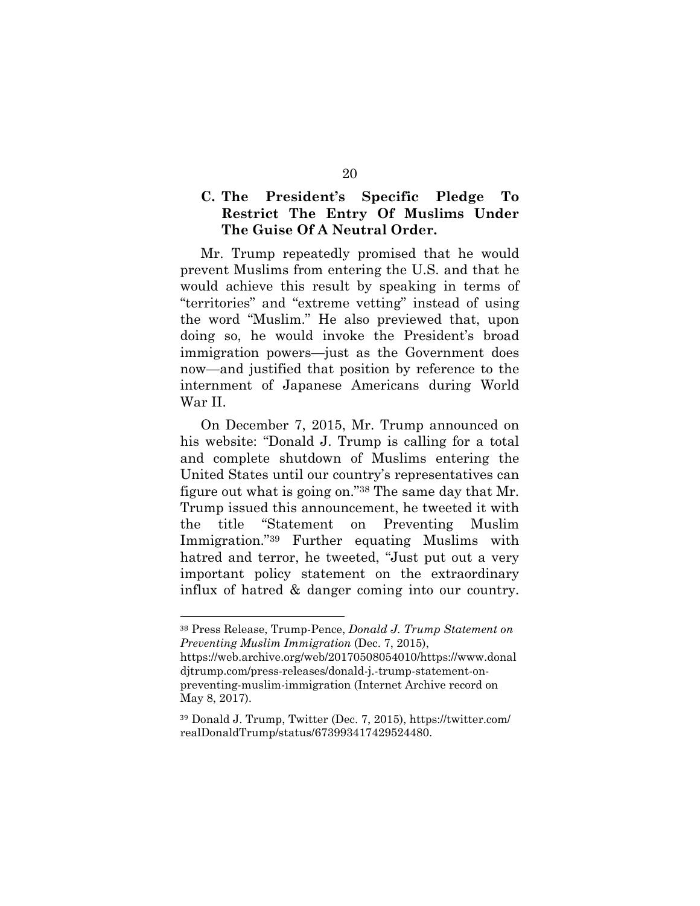## **C. The President's Specific Pledge To Restrict The Entry Of Muslims Under The Guise Of A Neutral Order.**

Mr. Trump repeatedly promised that he would prevent Muslims from entering the U.S. and that he would achieve this result by speaking in terms of "territories" and "extreme vetting" instead of using the word "Muslim." He also previewed that, upon doing so, he would invoke the President's broad immigration powers—just as the Government does now—and justified that position by reference to the internment of Japanese Americans during World War II.

On December 7, 2015, Mr. Trump announced on his website: "Donald J. Trump is calling for a total and complete shutdown of Muslims entering the United States until our country's representatives can figure out what is going on."38 The same day that Mr. Trump issued this announcement, he tweeted it with the title "Statement on Preventing Muslim Immigration."39 Further equating Muslims with hatred and terror, he tweeted, "Just put out a very important policy statement on the extraordinary influx of hatred & danger coming into our country.

<sup>38</sup> Press Release, Trump-Pence, *Donald J. Trump Statement on Preventing Muslim Immigration* (Dec. 7, 2015),

https://web.archive.org/web/20170508054010/https://www.donal djtrump.com/press-releases/donald-j.-trump-statement-onpreventing-muslim-immigration (Internet Archive record on May 8, 2017).

<sup>39</sup> Donald J. Trump, Twitter (Dec. 7, 2015), https://twitter.com/ realDonaldTrump/status/673993417429524480.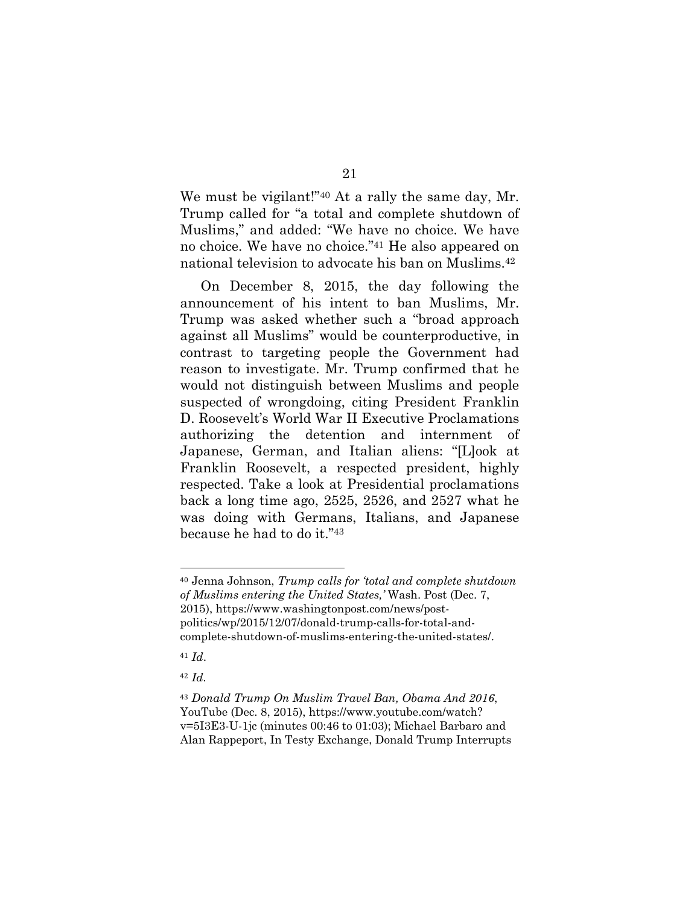We must be vigilant!"<sup>40</sup> At a rally the same day, Mr. Trump called for "a total and complete shutdown of Muslims," and added: "We have no choice. We have no choice. We have no choice."41 He also appeared on national television to advocate his ban on Muslims.42

On December 8, 2015, the day following the announcement of his intent to ban Muslims, Mr. Trump was asked whether such a "broad approach against all Muslims" would be counterproductive, in contrast to targeting people the Government had reason to investigate. Mr. Trump confirmed that he would not distinguish between Muslims and people suspected of wrongdoing, citing President Franklin D. Roosevelt's World War II Executive Proclamations authorizing the detention and internment of Japanese, German, and Italian aliens: "[L]ook at Franklin Roosevelt, a respected president, highly respected. Take a look at Presidential proclamations back a long time ago, 2525, 2526, and 2527 what he was doing with Germans, Italians, and Japanese because he had to do it."43

<sup>41</sup> *Id*.

 $\overline{a}$ 

<sup>42</sup> *Id.*

<sup>40</sup> Jenna Johnson, *Trump calls for 'total and complete shutdown of Muslims entering the United States,'* Wash. Post (Dec. 7, 2015), https://www.washingtonpost.com/news/postpolitics/wp/2015/12/07/donald-trump-calls-for-total-andcomplete-shutdown-of-muslims-entering-the-united-states/.

<sup>43</sup> *Donald Trump On Muslim Travel Ban, Obama And 2016*, YouTube (Dec. 8, 2015), https://www.youtube.com/watch? v=5I3E3-U-1jc (minutes 00:46 to 01:03); Michael Barbaro and Alan Rappeport, In Testy Exchange, Donald Trump Interrupts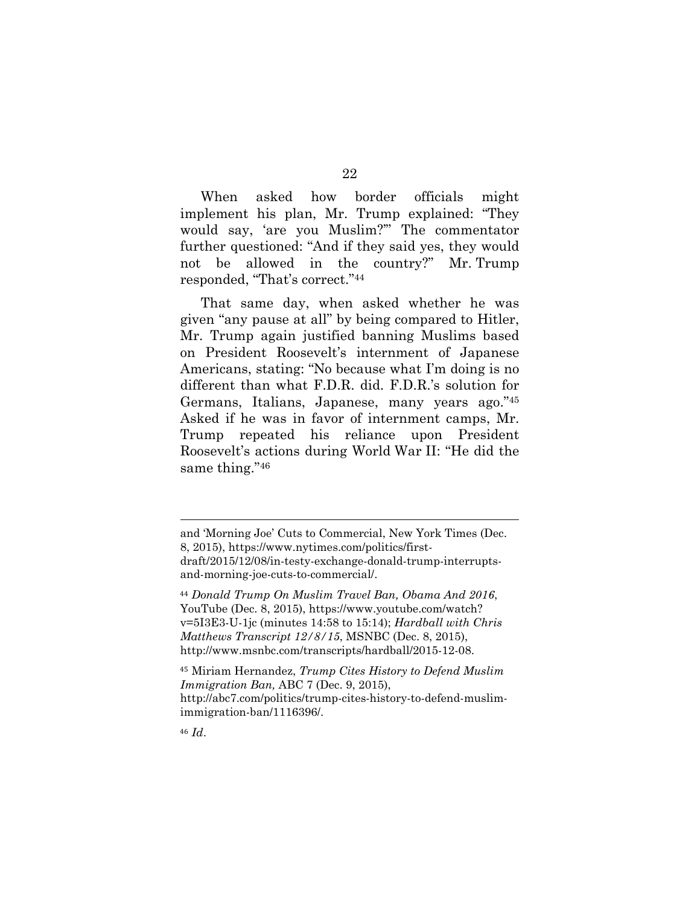When asked how border officials might implement his plan, Mr. Trump explained: "They would say, 'are you Muslim?'" The commentator further questioned: "And if they said yes, they would not be allowed in the country?" Mr. Trump responded, "That's correct."44

That same day, when asked whether he was given "any pause at all" by being compared to Hitler, Mr. Trump again justified banning Muslims based on President Roosevelt's internment of Japanese Americans, stating: "No because what I'm doing is no different than what F.D.R. did. F.D.R.'s solution for Germans, Italians, Japanese, many years ago."45 Asked if he was in favor of internment camps, Mr. Trump repeated his reliance upon President Roosevelt's actions during World War II: "He did the same thing."46

<sup>45</sup> Miriam Hernandez, *Trump Cites History to Defend Muslim Immigration Ban,* ABC 7 (Dec. 9, 2015), http://abc7.com/politics/trump-cites-history-to-defend-muslimimmigration-ban/1116396/.

<sup>46</sup> *Id*.

and 'Morning Joe' Cuts to Commercial, New York Times (Dec. 8, 2015), https://www.nytimes.com/politics/firstdraft/2015/12/08/in-testy-exchange-donald-trump-interruptsand-morning-joe-cuts-to-commercial/.

<sup>44</sup> *Donald Trump On Muslim Travel Ban, Obama And 2016*, YouTube (Dec. 8, 2015), https://www.youtube.com/watch? v=5I3E3-U-1jc (minutes 14:58 to 15:14); *Hardball with Chris Matthews Transcript 12/8/15*, MSNBC (Dec. 8, 2015), http://www.msnbc.com/transcripts/hardball/2015-12-08.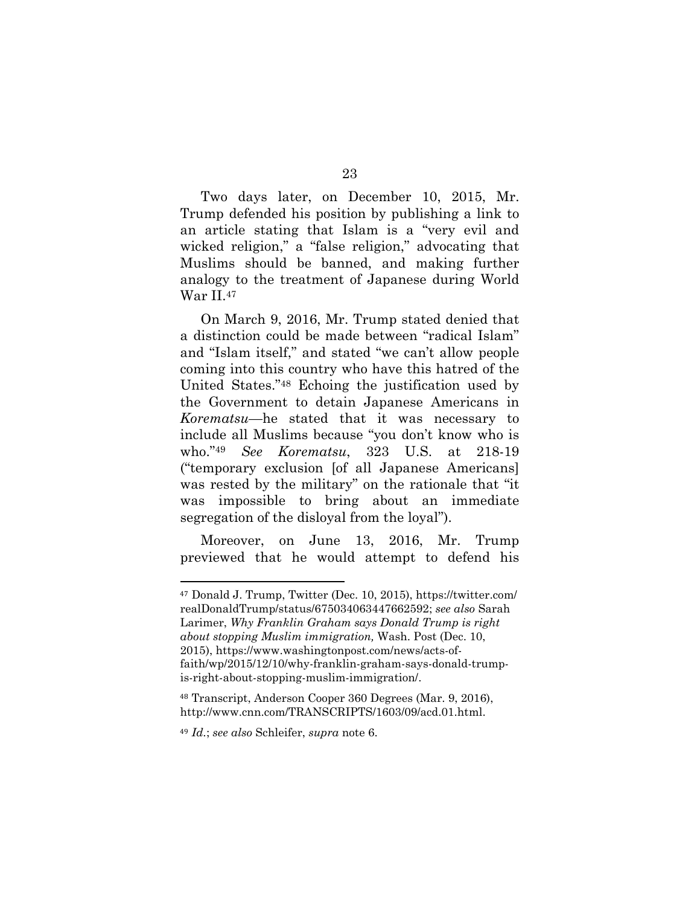Two days later, on December 10, 2015, Mr. Trump defended his position by publishing a link to an article stating that Islam is a "very evil and wicked religion," a "false religion," advocating that Muslims should be banned, and making further analogy to the treatment of Japanese during World War II.47

On March 9, 2016, Mr. Trump stated denied that a distinction could be made between "radical Islam" and "Islam itself," and stated "we can't allow people coming into this country who have this hatred of the United States."48 Echoing the justification used by the Government to detain Japanese Americans in *Korematsu*—he stated that it was necessary to include all Muslims because "you don't know who is who."49 *See Korematsu*, 323 U.S. at 218-19 ("temporary exclusion [of all Japanese Americans] was rested by the military" on the rationale that "it was impossible to bring about an immediate segregation of the disloyal from the loyal").

Moreover, on June 13, 2016, Mr. Trump previewed that he would attempt to defend his

<sup>47</sup> Donald J. Trump, Twitter (Dec. 10, 2015), https://twitter.com/ realDonaldTrump/status/675034063447662592; *see also* Sarah Larimer, *Why Franklin Graham says Donald Trump is right about stopping Muslim immigration,* Wash. Post (Dec. 10, 2015), https://www.washingtonpost.com/news/acts-offaith/wp/2015/12/10/why-franklin-graham-says-donald-trumpis-right-about-stopping-muslim-immigration/.

<sup>48</sup> Transcript, Anderson Cooper 360 Degrees (Mar. 9, 2016), http://www.cnn.com/TRANSCRIPTS/1603/09/acd.01.html.

<sup>49</sup> *Id.*; *see also* Schleifer, *supra* note 6.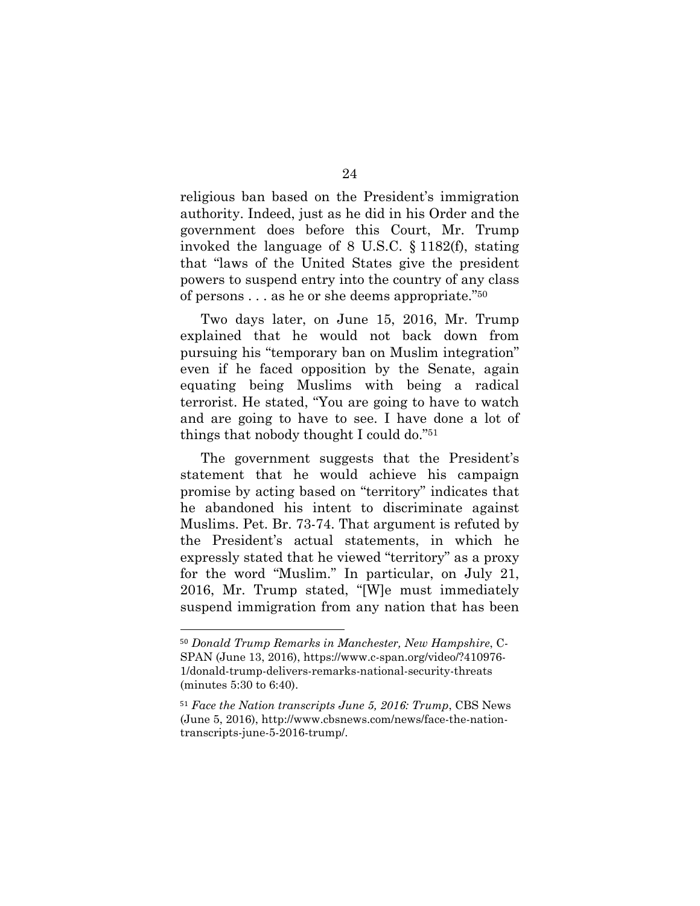religious ban based on the President's immigration authority. Indeed, just as he did in his Order and the government does before this Court, Mr. Trump invoked the language of 8 U.S.C. § 1182(f), stating that "laws of the United States give the president powers to suspend entry into the country of any class of persons . . . as he or she deems appropriate."50

Two days later, on June 15, 2016, Mr. Trump explained that he would not back down from pursuing his "temporary ban on Muslim integration" even if he faced opposition by the Senate, again equating being Muslims with being a radical terrorist. He stated, "You are going to have to watch and are going to have to see. I have done a lot of things that nobody thought I could do."51

The government suggests that the President's statement that he would achieve his campaign promise by acting based on "territory" indicates that he abandoned his intent to discriminate against Muslims. Pet. Br. 73-74. That argument is refuted by the President's actual statements, in which he expressly stated that he viewed "territory" as a proxy for the word "Muslim." In particular, on July 21, 2016, Mr. Trump stated, "[W]e must immediately suspend immigration from any nation that has been

<sup>50</sup> *Donald Trump Remarks in Manchester, New Hampshire*, C-SPAN (June 13, 2016), https://www.c-span.org/video/?410976- 1/donald-trump-delivers-remarks-national-security-threats (minutes 5:30 to 6:40).

<sup>51</sup> *Face the Nation transcripts June 5, 2016: Trump*, CBS News (June 5, 2016), http://www.cbsnews.com/news/face-the-nationtranscripts-june-5-2016-trump/.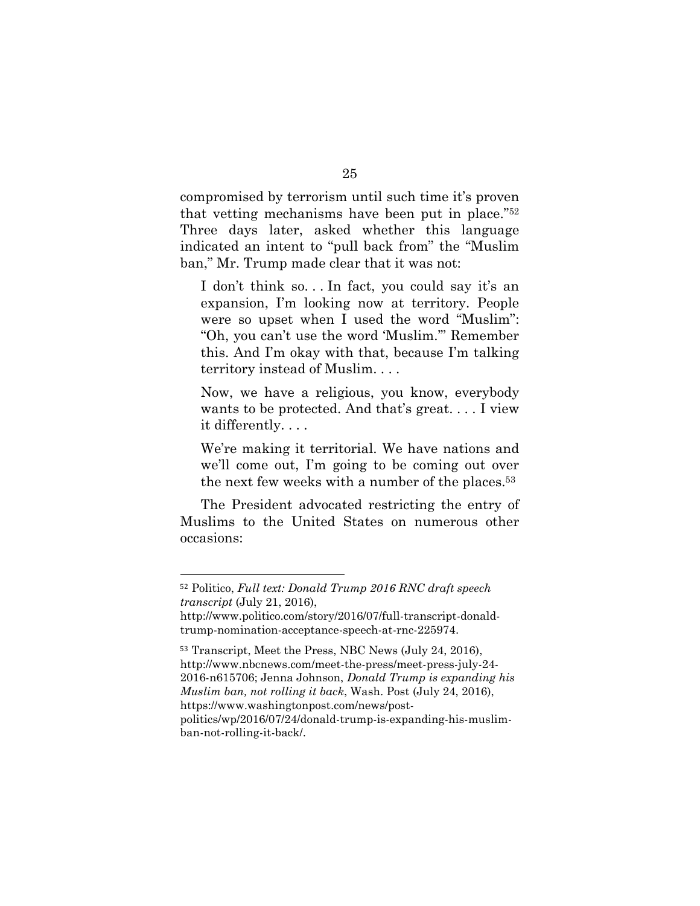compromised by terrorism until such time it's proven that vetting mechanisms have been put in place."52 Three days later, asked whether this language indicated an intent to "pull back from" the "Muslim ban," Mr. Trump made clear that it was not:

I don't think so. . . In fact, you could say it's an expansion, I'm looking now at territory. People were so upset when I used the word "Muslim": "Oh, you can't use the word 'Muslim.'" Remember this. And I'm okay with that, because I'm talking territory instead of Muslim. . . .

Now, we have a religious, you know, everybody wants to be protected. And that's great. . . . I view it differently. . . .

We're making it territorial. We have nations and we'll come out, I'm going to be coming out over the next few weeks with a number of the places.53

The President advocated restricting the entry of Muslims to the United States on numerous other occasions:

<sup>52</sup> Politico, *Full text: Donald Trump 2016 RNC draft speech transcript* (July 21, 2016),

http://www.politico.com/story/2016/07/full-transcript-donaldtrump-nomination-acceptance-speech-at-rnc-225974.

<sup>53</sup> Transcript, Meet the Press, NBC News (July 24, 2016), http://www.nbcnews.com/meet-the-press/meet-press-july-24- 2016-n615706; Jenna Johnson, *Donald Trump is expanding his Muslim ban, not rolling it back*, Wash. Post (July 24, 2016), https://www.washingtonpost.com/news/postpolitics/wp/2016/07/24/donald-trump-is-expanding-his-muslimban-not-rolling-it-back/.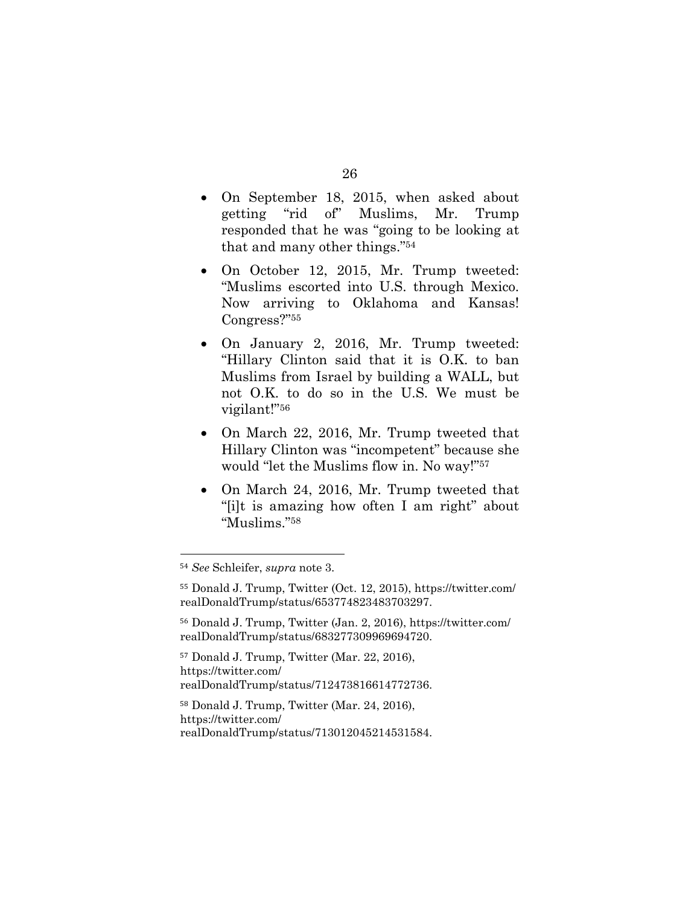- On September 18, 2015, when asked about getting "rid of" Muslims, Mr. Trump responded that he was "going to be looking at that and many other things."54
- On October 12, 2015, Mr. Trump tweeted: "Muslims escorted into U.S. through Mexico. Now arriving to Oklahoma and Kansas! Congress?"55
- On January 2, 2016, Mr. Trump tweeted: "Hillary Clinton said that it is O.K. to ban Muslims from Israel by building a WALL, but not O.K. to do so in the U.S. We must be vigilant!"56
- On March 22, 2016, Mr. Trump tweeted that Hillary Clinton was "incompetent" because she would "let the Muslims flow in. No way!"57
- On March 24, 2016, Mr. Trump tweeted that "[i]t is amazing how often I am right" about "Muslims."58

 $\overline{a}$ 

<sup>56</sup> Donald J. Trump, Twitter (Jan. 2, 2016), https://twitter.com/ realDonaldTrump/status/683277309969694720.

<sup>57</sup> Donald J. Trump, Twitter (Mar. 22, 2016), https://twitter.com/ realDonaldTrump/status/712473816614772736.

<sup>58</sup> Donald J. Trump, Twitter (Mar. 24, 2016), https://twitter.com/ realDonaldTrump/status/713012045214531584.

<sup>54</sup> *See* Schleifer, *supra* note 3.

<sup>55</sup> Donald J. Trump, Twitter (Oct. 12, 2015), https://twitter.com/ realDonaldTrump/status/653774823483703297.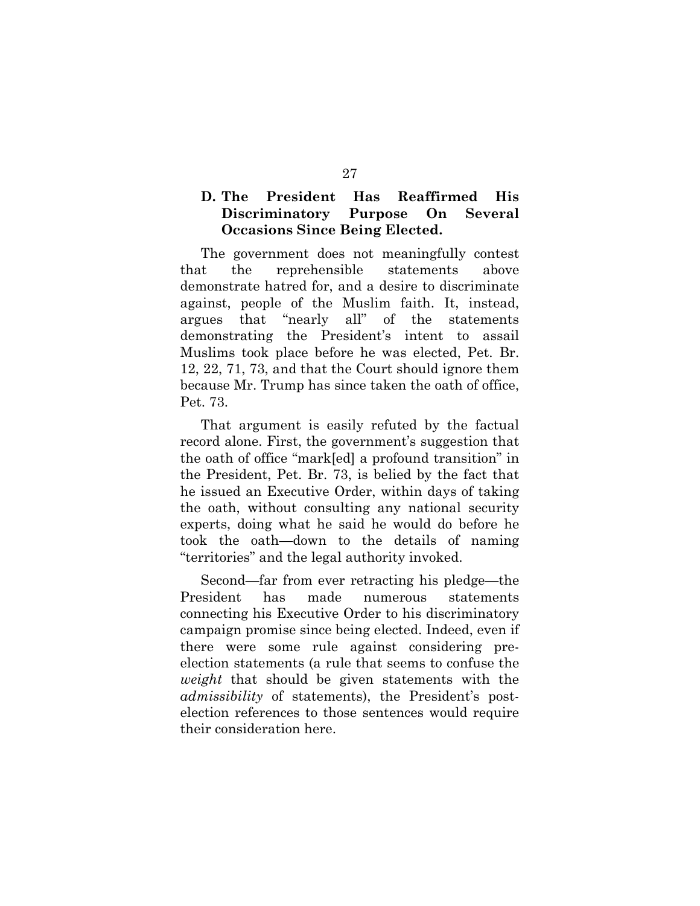## **D. The President Has Reaffirmed His Discriminatory Purpose On Several Occasions Since Being Elected.**

The government does not meaningfully contest that the reprehensible statements above demonstrate hatred for, and a desire to discriminate against, people of the Muslim faith. It, instead, argues that "nearly all" of the statements demonstrating the President's intent to assail Muslims took place before he was elected, Pet. Br. 12, 22, 71, 73, and that the Court should ignore them because Mr. Trump has since taken the oath of office, Pet. 73.

That argument is easily refuted by the factual record alone. First, the government's suggestion that the oath of office "mark[ed] a profound transition" in the President, Pet. Br. 73, is belied by the fact that he issued an Executive Order, within days of taking the oath, without consulting any national security experts, doing what he said he would do before he took the oath—down to the details of naming "territories" and the legal authority invoked.

Second—far from ever retracting his pledge—the President has made numerous statements connecting his Executive Order to his discriminatory campaign promise since being elected. Indeed, even if there were some rule against considering preelection statements (a rule that seems to confuse the *weight* that should be given statements with the *admissibility* of statements), the President's postelection references to those sentences would require their consideration here.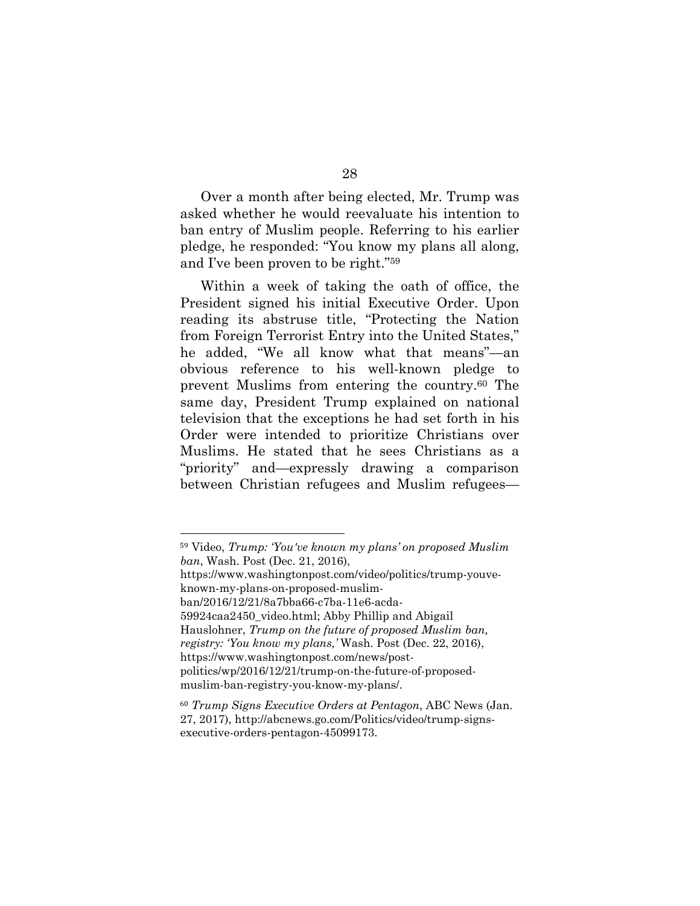Over a month after being elected, Mr. Trump was asked whether he would reevaluate his intention to ban entry of Muslim people. Referring to his earlier pledge, he responded: "You know my plans all along, and I've been proven to be right."59

Within a week of taking the oath of office, the President signed his initial Executive Order. Upon reading its abstruse title, "Protecting the Nation from Foreign Terrorist Entry into the United States," he added, "We all know what that means"—an obvious reference to his well-known pledge to prevent Muslims from entering the country.60 The same day, President Trump explained on national television that the exceptions he had set forth in his Order were intended to prioritize Christians over Muslims. He stated that he sees Christians as a "priority" and—expressly drawing a comparison between Christian refugees and Muslim refugees—

<sup>59</sup> Video, *Trump: 'You've known my plans' on proposed Muslim ban*, Wash. Post (Dec. 21, 2016),

https://www.washingtonpost.com/video/politics/trump-youveknown-my-plans-on-proposed-muslim-

ban/2016/12/21/8a7bba66-c7ba-11e6-acda-

<sup>59924</sup>caa2450\_video.html; Abby Phillip and Abigail

Hauslohner, *Trump on the future of proposed Muslim ban, registry: 'You know my plans,'* Wash. Post (Dec. 22, 2016), https://www.washingtonpost.com/news/post-

politics/wp/2016/12/21/trump-on-the-future-of-proposedmuslim-ban-registry-you-know-my-plans/.

<sup>60</sup> *Trump Signs Executive Orders at Pentagon*, ABC News (Jan. 27, 2017), http://abcnews.go.com/Politics/video/trump-signsexecutive-orders-pentagon-45099173.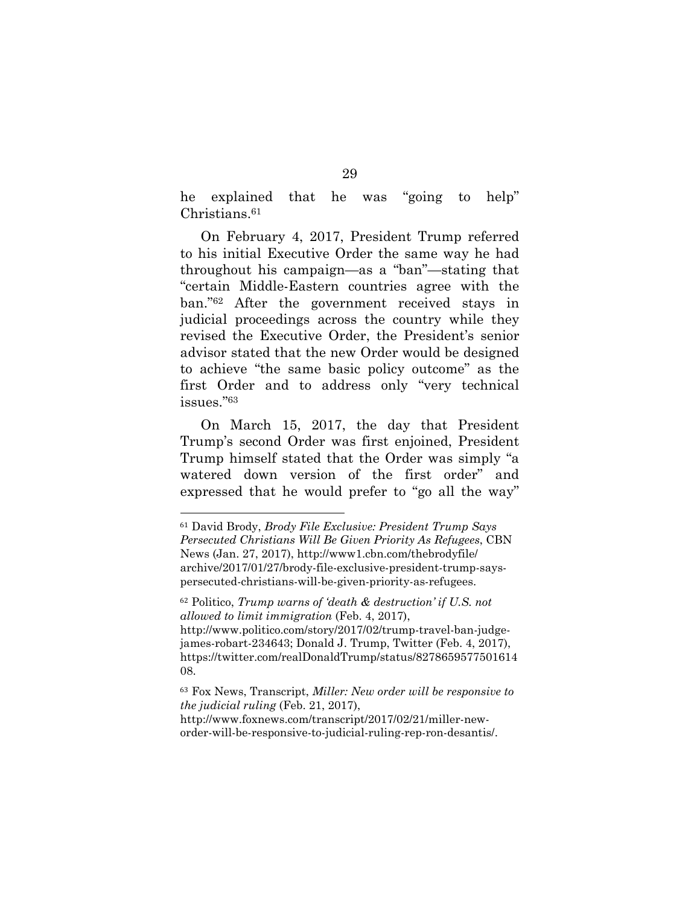he explained that he was "going to help" Christians.<sup>61</sup>

On February 4, 2017, President Trump referred to his initial Executive Order the same way he had throughout his campaign—as a "ban"—stating that "certain Middle-Eastern countries agree with the ban."62 After the government received stays in judicial proceedings across the country while they revised the Executive Order, the President's senior advisor stated that the new Order would be designed to achieve "the same basic policy outcome" as the first Order and to address only "very technical issues."63

On March 15, 2017, the day that President Trump's second Order was first enjoined, President Trump himself stated that the Order was simply "a watered down version of the first order" and expressed that he would prefer to "go all the way"

<sup>61</sup> David Brody, *Brody File Exclusive: President Trump Says Persecuted Christians Will Be Given Priority As Refugees*, CBN News (Jan. 27, 2017), http://www1.cbn.com/thebrodyfile/ archive/2017/01/27/brody-file-exclusive-president-trump-sayspersecuted-christians-will-be-given-priority-as-refugees.

<sup>62</sup> Politico, *Trump warns of 'death & destruction' if U.S. not allowed to limit immigration* (Feb. 4, 2017),

http://www.politico.com/story/2017/02/trump-travel-ban-judgejames-robart-234643; Donald J. Trump, Twitter (Feb. 4, 2017), https://twitter.com/realDonaldTrump/status/8278659577501614 08.

<sup>63</sup> Fox News, Transcript, *Miller: New order will be responsive to the judicial ruling* (Feb. 21, 2017),

http://www.foxnews.com/transcript/2017/02/21/miller-neworder-will-be-responsive-to-judicial-ruling-rep-ron-desantis/.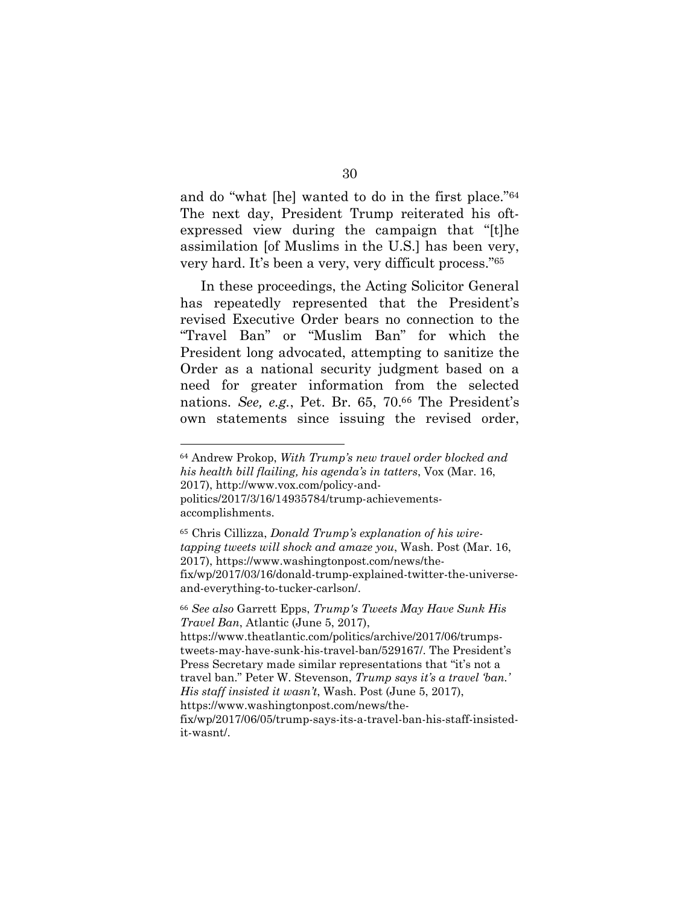and do "what [he] wanted to do in the first place."64 The next day, President Trump reiterated his oftexpressed view during the campaign that "[t]he assimilation [of Muslims in the U.S.] has been very, very hard. It's been a very, very difficult process."65

In these proceedings, the Acting Solicitor General has repeatedly represented that the President's revised Executive Order bears no connection to the "Travel Ban" or "Muslim Ban" for which the President long advocated, attempting to sanitize the Order as a national security judgment based on a need for greater information from the selected nations. *See, e.g.*, Pet. Br. 65, 70.66 The President's own statements since issuing the revised order,

 $\overline{a}$ 

<sup>66</sup> *See also* Garrett Epps, *Trump's Tweets May Have Sunk His Travel Ban*, Atlantic (June 5, 2017), https://www.theatlantic.com/politics/archive/2017/06/trumpstweets-may-have-sunk-his-travel-ban/529167/. The President's Press Secretary made similar representations that "it's not a travel ban." Peter W. Stevenson, *Trump says it's a travel 'ban.' His staff insisted it wasn't*, Wash. Post (June 5, 2017), https://www.washingtonpost.com/news/thefix/wp/2017/06/05/trump-says-its-a-travel-ban-his-staff-insistedit-wasnt/.

30

<sup>64</sup> Andrew Prokop, *With Trump's new travel order blocked and his health bill flailing, his agenda's in tatters*, Vox (Mar. 16, 2017), http://www.vox.com/policy-andpolitics/2017/3/16/14935784/trump-achievementsaccomplishments.

<sup>65</sup> Chris Cillizza, *Donald Trump's explanation of his wiretapping tweets will shock and amaze you*, Wash. Post (Mar. 16, 2017), https://www.washingtonpost.com/news/thefix/wp/2017/03/16/donald-trump-explained-twitter-the-universeand-everything-to-tucker-carlson/.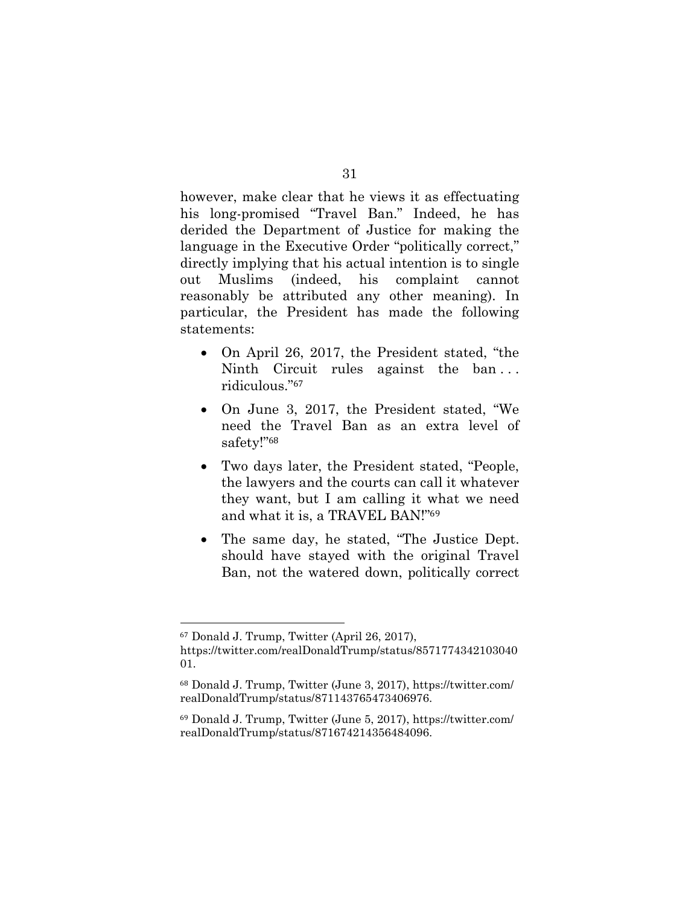however, make clear that he views it as effectuating his long-promised "Travel Ban." Indeed, he has derided the Department of Justice for making the language in the Executive Order "politically correct," directly implying that his actual intention is to single out Muslims (indeed, his complaint cannot reasonably be attributed any other meaning). In particular, the President has made the following statements:

- On April 26, 2017, the President stated, "the Ninth Circuit rules against the ban . . . ridiculous."<sup>67</sup>
- On June 3, 2017, the President stated, "We need the Travel Ban as an extra level of safety!"<sup>68</sup>
- Two days later, the President stated, "People, the lawyers and the courts can call it whatever they want, but I am calling it what we need and what it is, a TRAVEL BAN!"<sup>69</sup>
- The same day, he stated, "The Justice Dept. should have stayed with the original Travel Ban, not the watered down, politically correct

<sup>67</sup> Donald J. Trump, Twitter (April 26, 2017), https://twitter.com/realDonaldTrump/status/8571774342103040 01.

<sup>68</sup> Donald J. Trump, Twitter (June 3, 2017), https://twitter.com/ realDonaldTrump/status/871143765473406976.

<sup>69</sup> Donald J. Trump, Twitter (June 5, 2017), https://twitter.com/ realDonaldTrump/status/871674214356484096.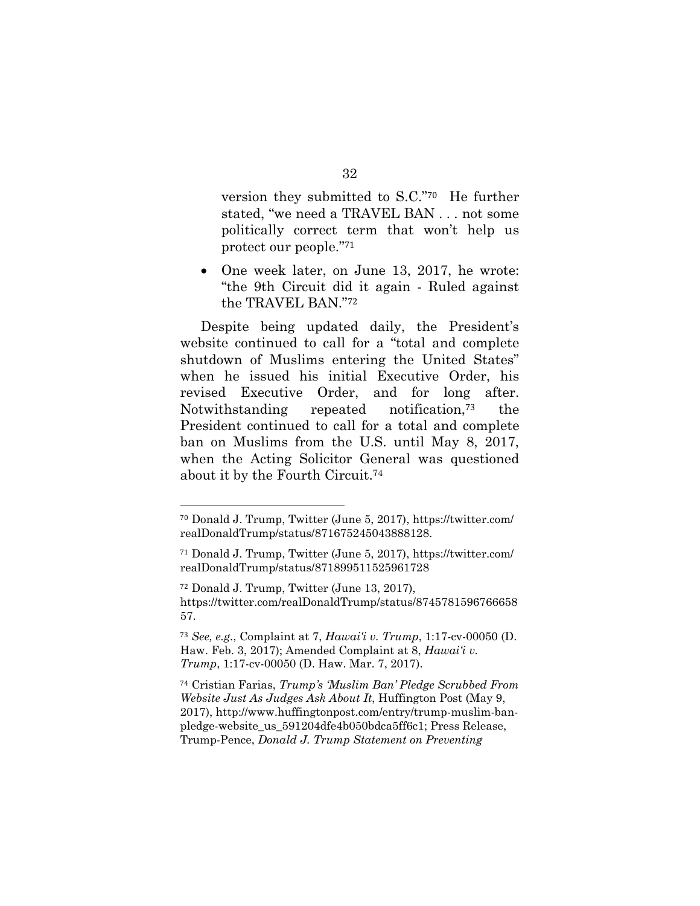version they submitted to S.C."70 He further stated, "we need a TRAVEL BAN . . . not some politically correct term that won't help us protect our people."<sup>71</sup>

• One week later, on June 13, 2017, he wrote: "the 9th Circuit did it again - Ruled against the TRAVEL BAN."<sup>72</sup>

Despite being updated daily, the President's website continued to call for a "total and complete shutdown of Muslims entering the United States" when he issued his initial Executive Order, his revised Executive Order, and for long after. Notwithstanding repeated notification,73 the President continued to call for a total and complete ban on Muslims from the U.S. until May 8, 2017, when the Acting Solicitor General was questioned about it by the Fourth Circuit.74

<sup>70</sup> Donald J. Trump, Twitter (June 5, 2017), https://twitter.com/ realDonaldTrump/status/871675245043888128.

<sup>71</sup> Donald J. Trump, Twitter (June 5, 2017), https://twitter.com/ realDonaldTrump/status/871899511525961728

<sup>72</sup> Donald J. Trump, Twitter (June 13, 2017), https://twitter.com/realDonaldTrump/status/8745781596766658 57.

<sup>73</sup> *See, e.g.*, Complaint at 7, *Hawai'i v. Trump*, 1:17-cv-00050 (D. Haw. Feb. 3, 2017); Amended Complaint at 8, *Hawai'i v. Trump*, 1:17-cv-00050 (D. Haw. Mar. 7, 2017).

<sup>74</sup> Cristian Farias, *Trump's 'Muslim Ban' Pledge Scrubbed From Website Just As Judges Ask About It*, Huffington Post (May 9, 2017), http://www.huffingtonpost.com/entry/trump-muslim-banpledge-website\_us\_591204dfe4b050bdca5ff6c1; Press Release, Trump-Pence, *Donald J. Trump Statement on Preventing*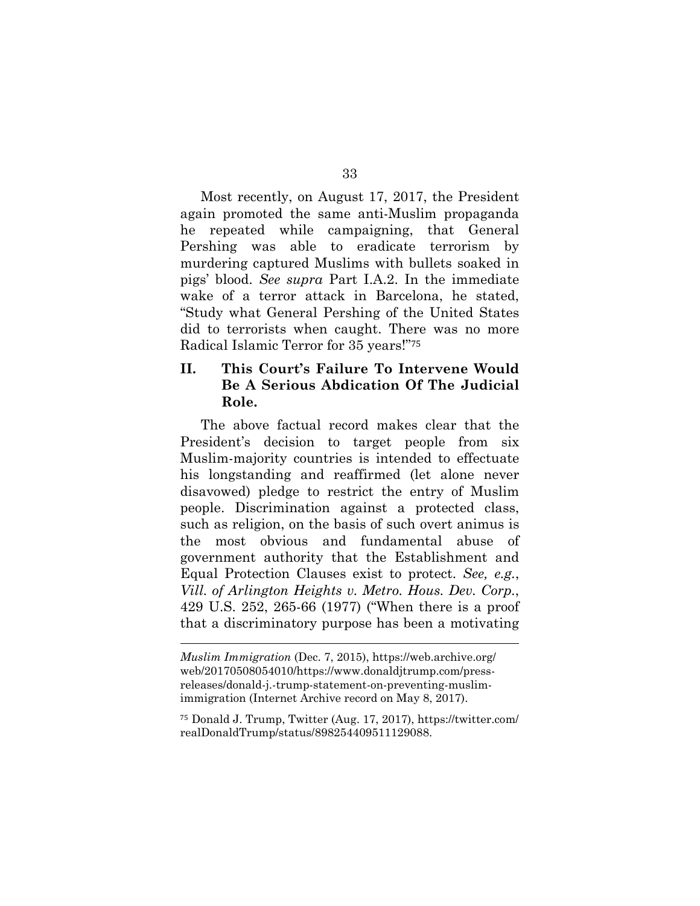Most recently, on August 17, 2017, the President again promoted the same anti-Muslim propaganda he repeated while campaigning, that General Pershing was able to eradicate terrorism by murdering captured Muslims with bullets soaked in pigs' blood. *See supra* Part I.A.2. In the immediate wake of a terror attack in Barcelona, he stated, "Study what General Pershing of the United States did to terrorists when caught. There was no more Radical Islamic Terror for 35 years!"<sup>75</sup>

# **II. This Court's Failure To Intervene Would Be A Serious Abdication Of The Judicial Role.**

The above factual record makes clear that the President's decision to target people from six Muslim-majority countries is intended to effectuate his longstanding and reaffirmed (let alone never disavowed) pledge to restrict the entry of Muslim people. Discrimination against a protected class, such as religion, on the basis of such overt animus is the most obvious and fundamental abuse of government authority that the Establishment and Equal Protection Clauses exist to protect. *See, e.g.*, *Vill. of Arlington Heights v. Metro. Hous. Dev. Corp.*, 429 U.S. 252, 265-66 (1977) ("When there is a proof that a discriminatory purpose has been a motivating

*Muslim Immigration* (Dec. 7, 2015), https://web.archive.org/ web/20170508054010/https://www.donaldjtrump.com/pressreleases/donald-j.-trump-statement-on-preventing-muslimimmigration (Internet Archive record on May 8, 2017).

<sup>75</sup> Donald J. Trump, Twitter (Aug. 17, 2017), https://twitter.com/ realDonaldTrump/status/898254409511129088.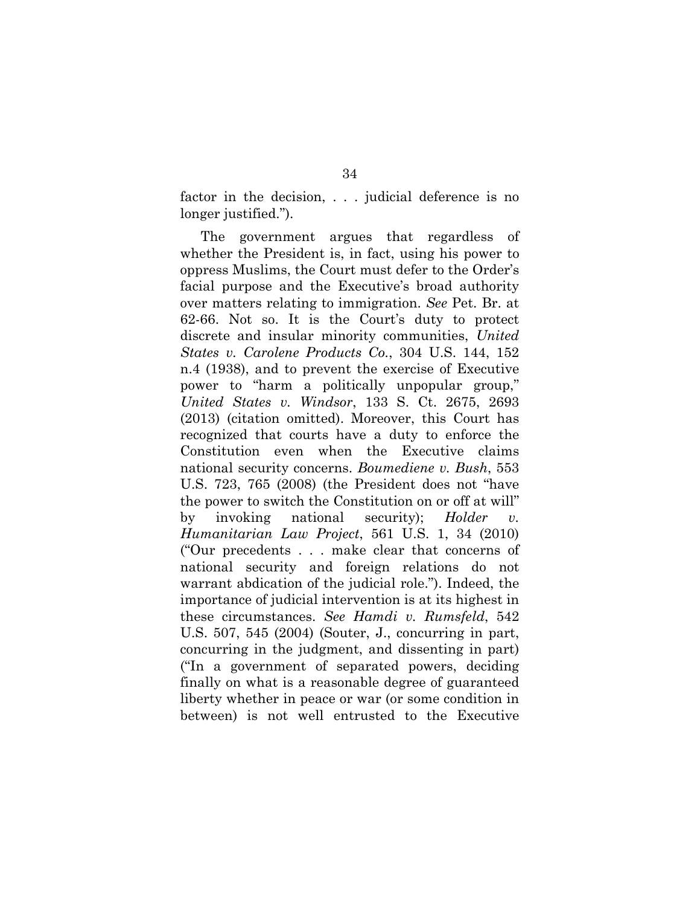factor in the decision, . . . judicial deference is no longer justified.").

The government argues that regardless of whether the President is, in fact, using his power to oppress Muslims, the Court must defer to the Order's facial purpose and the Executive's broad authority over matters relating to immigration. *See* Pet. Br. at 62-66. Not so. It is the Court's duty to protect discrete and insular minority communities, *United States v. Carolene Products Co.*, 304 U.S. 144, 152 n.4 (1938), and to prevent the exercise of Executive power to "harm a politically unpopular group," *United States v. Windsor*, 133 S. Ct. 2675, 2693 (2013) (citation omitted). Moreover, this Court has recognized that courts have a duty to enforce the Constitution even when the Executive claims national security concerns. *Boumediene v. Bush*, 553 U.S. 723, 765 (2008) (the President does not "have the power to switch the Constitution on or off at will" by invoking national security); *Holder v. Humanitarian Law Project*, 561 U.S. 1, 34 (2010) ("Our precedents . . . make clear that concerns of national security and foreign relations do not warrant abdication of the judicial role."). Indeed, the importance of judicial intervention is at its highest in these circumstances. *See Hamdi v. Rumsfeld*, 542 U.S. 507, 545 (2004) (Souter, J., concurring in part, concurring in the judgment, and dissenting in part) ("In a government of separated powers, deciding finally on what is a reasonable degree of guaranteed liberty whether in peace or war (or some condition in between) is not well entrusted to the Executive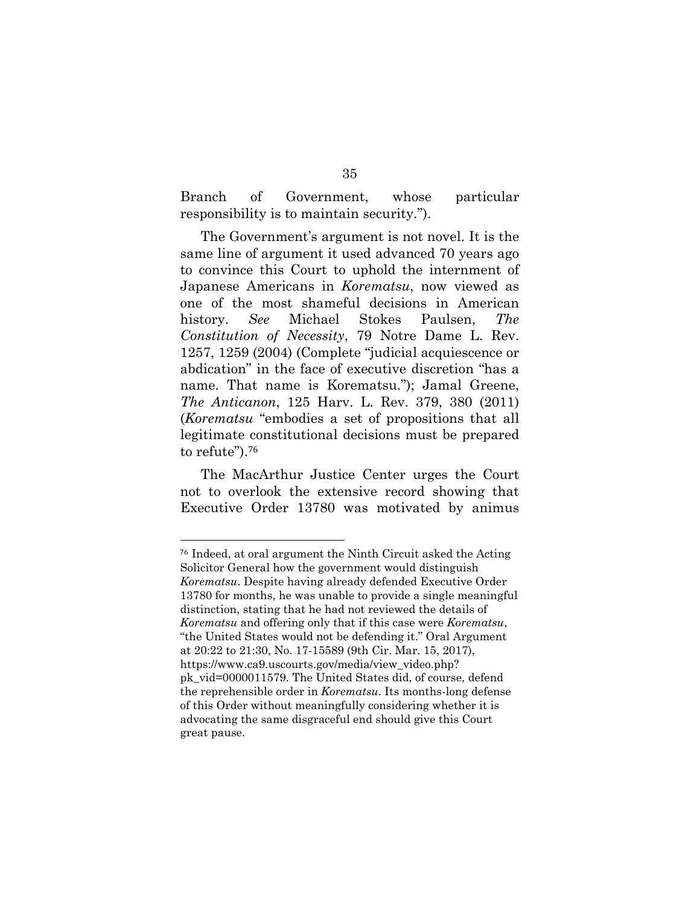Branch of Government, whose particular responsibility is to maintain security.").

The Government's argument is not novel. It is the same line of argument it used advanced 70 years ago to convince this Court to uphold the internment of Japanese Americans in *Korematsu*, now viewed as one of the most shameful decisions in American history. *See* Michael Stokes Paulsen, *The Constitution of Necessity*, 79 Notre Dame L. Rev. 1257, 1259 (2004) (Complete "judicial acquiescence or abdication" in the face of executive discretion "has a name. That name is Korematsu."); Jamal Greene, *The Anticanon*, 125 Harv. L. Rev. 379, 380 (2011) (*Korematsu* "embodies a set of propositions that all legitimate constitutional decisions must be prepared to refute").<sup>76</sup>

The MacArthur Justice Center urges the Court not to overlook the extensive record showing that Executive Order 13780 was motivated by animus

<sup>76</sup> Indeed, at oral argument the Ninth Circuit asked the Acting Solicitor General how the government would distinguish *Korematsu*. Despite having already defended Executive Order 13780 for months, he was unable to provide a single meaningful distinction, stating that he had not reviewed the details of *Korematsu* and offering only that if this case were *Korematsu*, "the United States would not be defending it." Oral Argument at 20:22 to 21:30, No. 17-15589 (9th Cir. Mar. 15, 2017), https://www.ca9.uscourts.gov/media/view\_video.php? pk\_vid=0000011579. The United States did, of course, defend the reprehensible order in *Korematsu*. Its months-long defense of this Order without meaningfully considering whether it is advocating the same disgraceful end should give this Court great pause.